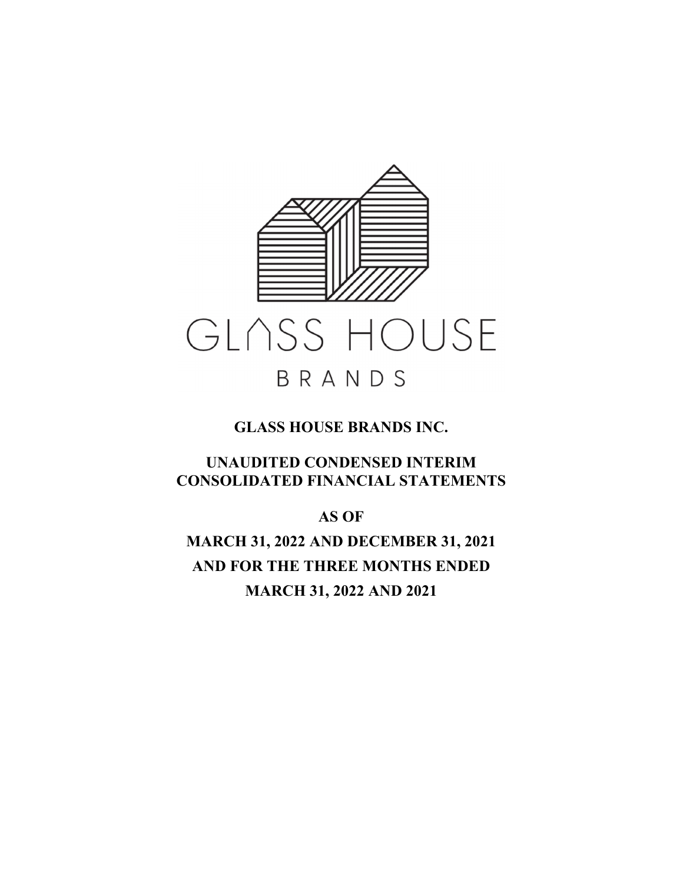

**UNAUDITED CONDENSED INTERIM CONSOLIDATED FINANCIAL STATEMENTS** 

**AS OF** 

**MARCH 31, 2022 AND DECEMBER 31, 2021 AND FOR THE THREE MONTHS ENDED MARCH 31, 2022 AND 2021**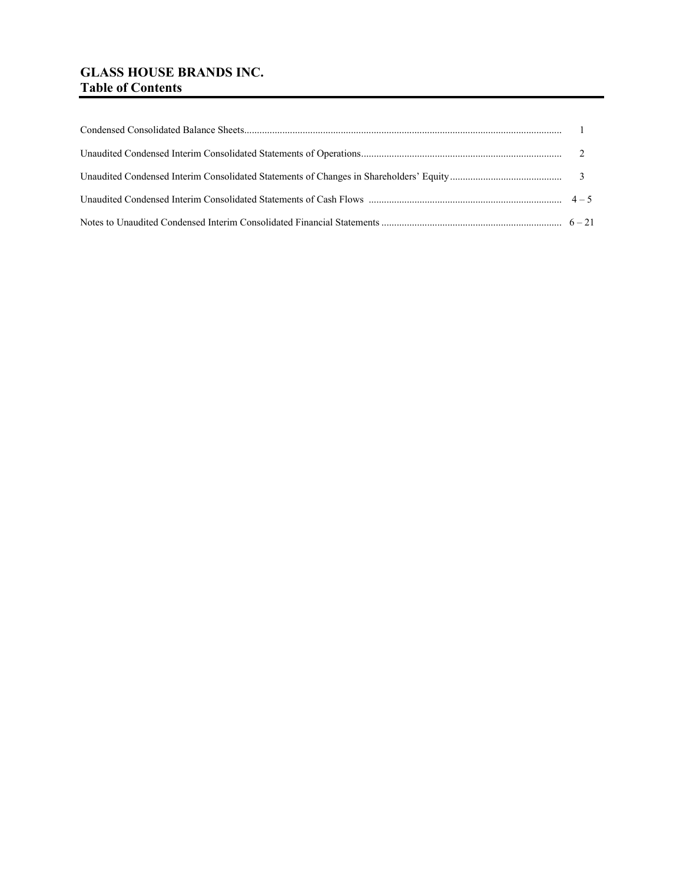# **GLASS HOUSE BRANDS INC. Table of Contents**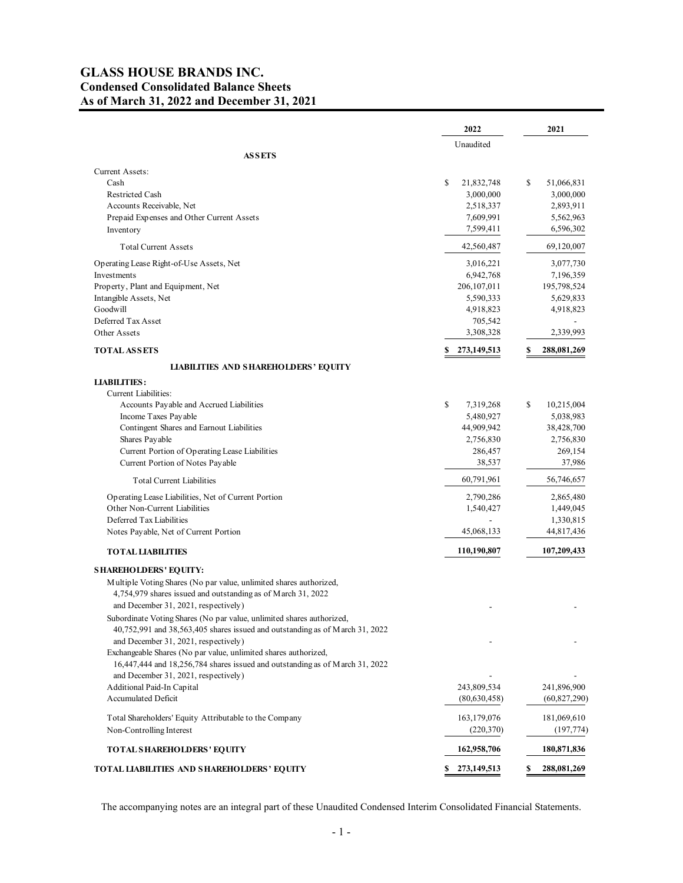# **GLASS HOUSE BRANDS INC. Condensed Consolidated Balance Sheets As of March 31, 2022 and December 31, 2021**

|                                                                                                                      | 2022              | 2021              |
|----------------------------------------------------------------------------------------------------------------------|-------------------|-------------------|
|                                                                                                                      | Unaudited         |                   |
| <b>ASSETS</b>                                                                                                        |                   |                   |
| Current Assets:                                                                                                      |                   |                   |
| Cash                                                                                                                 | \$<br>21,832,748  | \$<br>51,066,831  |
| <b>Restricted Cash</b>                                                                                               | 3,000,000         | 3,000,000         |
| Accounts Receivable, Net                                                                                             | 2,518,337         | 2,893,911         |
| Prepaid Expenses and Other Current Assets                                                                            | 7,609,991         | 5,562,963         |
| Inventory                                                                                                            | 7,599,411         | 6,596,302         |
| <b>Total Current Assets</b>                                                                                          | 42,560,487        | 69,120,007        |
| Operating Lease Right-of-Use Assets, Net                                                                             | 3,016,221         | 3,077,730         |
| Investments                                                                                                          | 6,942,768         | 7,196,359         |
| Property, Plant and Equipment, Net                                                                                   | 206, 107, 011     | 195,798,524       |
| Intangible Assets, Net                                                                                               | 5,590,333         | 5,629,833         |
| Goodwill                                                                                                             | 4,918,823         | 4,918,823         |
| Deferred Tax Asset                                                                                                   | 705,542           |                   |
| Other Assets                                                                                                         | 3,308,328         | 2,339,993         |
| <b>TOTAL ASSETS</b>                                                                                                  | 273,149,513<br>\$ | \$<br>288,081,269 |
| <b>LIABILITIES AND SHAREHOLDERS' EQUITY</b>                                                                          |                   |                   |
| <b>LIABILITIES:</b>                                                                                                  |                   |                   |
| Current Liabilities:                                                                                                 |                   |                   |
| Accounts Payable and Accrued Liabilities                                                                             | \$<br>7,319,268   | \$<br>10,215,004  |
| Income Taxes Payable                                                                                                 | 5,480,927         | 5,038,983         |
| Contingent Shares and Earnout Liabilities                                                                            | 44,909,942        | 38,428,700        |
| Shares Payable                                                                                                       | 2,756,830         | 2,756,830         |
| Current Portion of Operating Lease Liabilities                                                                       | 286,457           | 269,154           |
| Current Portion of Notes Payable                                                                                     | 38,537            | 37,986            |
| <b>Total Current Liabilities</b>                                                                                     | 60,791,961        | 56,746,657        |
| Operating Lease Liabilities, Net of Current Portion                                                                  | 2,790,286         | 2,865,480         |
| Other Non-Current Liabilities                                                                                        | 1,540,427         | 1,449,045         |
| Deferred Tax Liabilities                                                                                             |                   | 1,330,815         |
| Notes Payable, Net of Current Portion                                                                                | 45,068,133        | 44,817,436        |
| <b>TOTAL LIABILITIES</b>                                                                                             | 110,190,807       | 107,209,433       |
| <b>SHAREHOLDERS' EQUITY:</b>                                                                                         |                   |                   |
| Multiple Voting Shares (No par value, unlimited shares authorized,                                                   |                   |                   |
| 4,754,979 shares issued and outstanding as of March 31, 2022                                                         |                   |                   |
| and December 31, 2021, respectively)                                                                                 |                   |                   |
| Subordinate Voting Shares (No par value, unlimited shares authorized,                                                |                   |                   |
| 40,752,991 and 38,563,405 shares issued and outstanding as of March 31, 2022                                         |                   |                   |
| and December 31, 2021, respectively)                                                                                 |                   |                   |
| Exchangeable Shares (No par value, unlimited shares authorized,                                                      |                   |                   |
| 16,447,444 and 18,256,784 shares issued and outstanding as of March 31, 2022<br>and December 31, 2021, respectively) |                   |                   |
| Additional Paid-In Capital                                                                                           | 243,809,534       | 241,896,900       |
| Accumulated Deficit                                                                                                  | (80,630,458)      | (60, 827, 290)    |
|                                                                                                                      |                   |                   |
| Total Shareholders' Equity Attributable to the Company                                                               | 163, 179, 076     | 181,069,610       |
| Non-Controlling Interest                                                                                             | (220, 370)        | (197, 774)        |
| <b>TOTAL SHAREHOLDERS' EQUITY</b>                                                                                    | 162,958,706       | 180,871,836       |
| <b>TOTAL LIABILITIES AND SHAREHOLDERS' EQUITY</b>                                                                    | 273,149,513<br>\$ | \$<br>288,081,269 |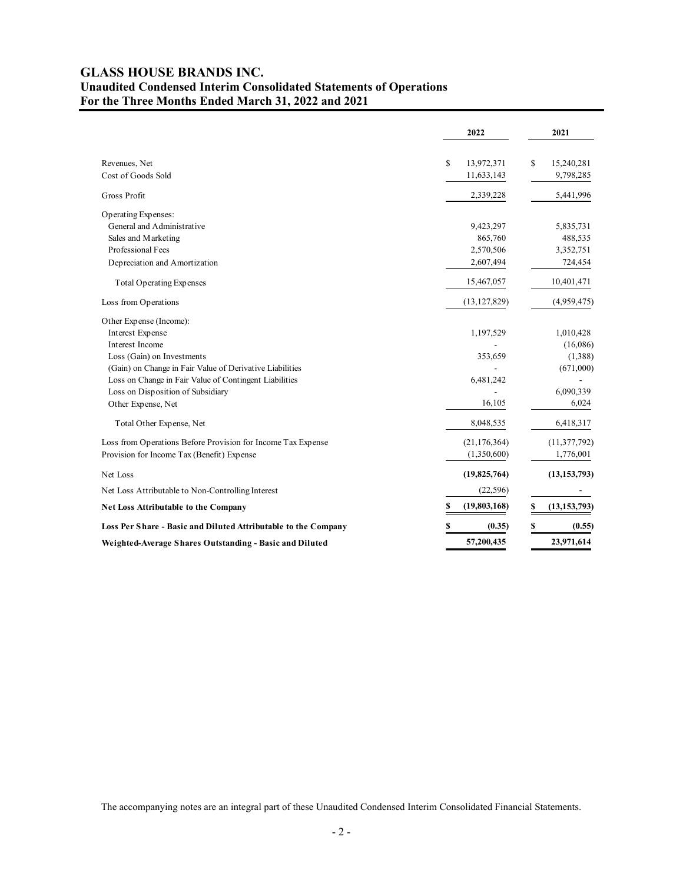# **GLASS HOUSE BRANDS INC. Unaudited Condensed Interim Consolidated Statements of Operations For the Three Months Ended March 31, 2022 and 2021**

|                                                                | 2022              | 2021                 |
|----------------------------------------------------------------|-------------------|----------------------|
| Revenues, Net                                                  | \$<br>13,972,371  | \$<br>15,240,281     |
| Cost of Goods Sold                                             | 11,633,143        | 9,798,285            |
| Gross Profit                                                   | 2,339,228         | 5,441,996            |
| Operating Expenses:                                            |                   |                      |
| General and Administrative                                     | 9,423,297         | 5,835,731            |
| Sales and Marketing                                            | 865,760           | 488,535              |
| Professional Fees                                              | 2,570,506         | 3,352,751            |
| Depreciation and Amortization                                  | 2,607,494         | 724,454              |
| <b>Total Operating Expenses</b>                                | 15,467,057        | 10,401,471           |
| Loss from Operations                                           | (13, 127, 829)    | (4,959,475)          |
| Other Expense (Income):                                        |                   |                      |
| Interest Expense                                               | 1,197,529         | 1,010,428            |
| Interest Income                                                |                   | (16,086)             |
| Loss (Gain) on Investments                                     | 353,659           | (1,388)              |
| (Gain) on Change in Fair Value of Derivative Liabilities       |                   | (671,000)            |
| Loss on Change in Fair Value of Contingent Liabilities         | 6,481,242         |                      |
| Loss on Disposition of Subsidiary                              |                   | 6,090,339            |
| Other Expense, Net                                             | 16,105            | 6,024                |
| Total Other Expense, Net                                       | 8,048,535         | 6,418,317            |
| Loss from Operations Before Provision for Income Tax Expense   | (21, 176, 364)    | (11, 377, 792)       |
| Provision for Income Tax (Benefit) Expense                     | (1,350,600)       | 1,776,001            |
| Net Loss                                                       | (19, 825, 764)    | (13, 153, 793)       |
| Net Loss Attributable to Non-Controlling Interest              | (22, 596)         |                      |
| <b>Net Loss Attributable to the Company</b>                    | S<br>(19,803,168) | \$<br>(13, 153, 793) |
| Loss Per Share - Basic and Diluted Attributable to the Company | \$<br>(0.35)      | \$<br>(0.55)         |
| Weighted-Average Shares Outstanding - Basic and Diluted        | 57,200,435        | 23,971,614           |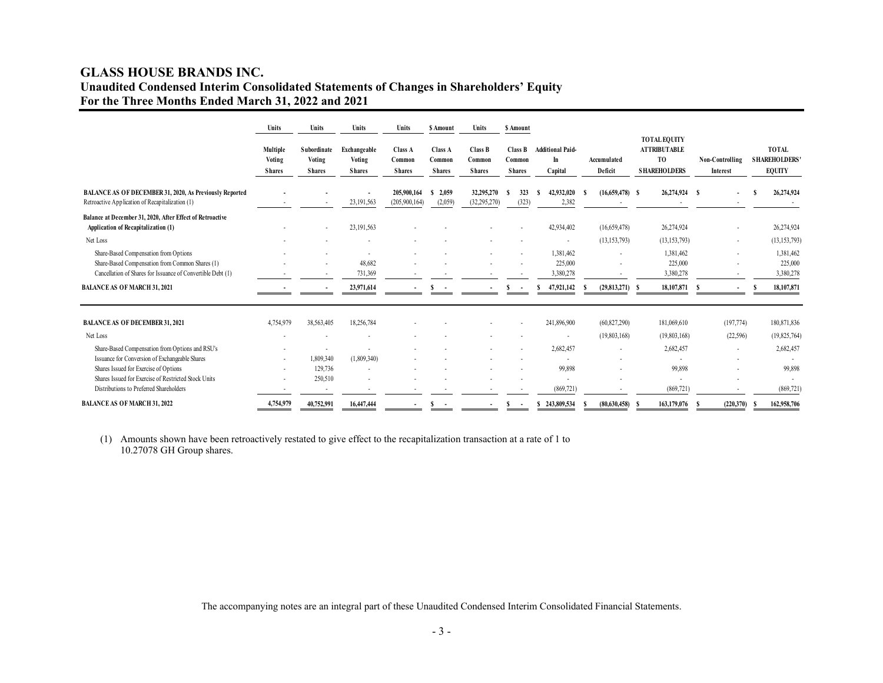# **GLASS HOUSE BRANDS INC. Unaudited Condensed Interim Consolidated Statements of Changes in Shareholders' Equity For the Three Months Ended March 31, 2022 and 2021**

|                                                                                                                                                         | Units                               | Units                                  | Units                                   | Units                              | <b>S</b> Amount                    | Units                              | \$ Amount                          |                                          |                         |                                                                                     |                             |                                                      |
|---------------------------------------------------------------------------------------------------------------------------------------------------------|-------------------------------------|----------------------------------------|-----------------------------------------|------------------------------------|------------------------------------|------------------------------------|------------------------------------|------------------------------------------|-------------------------|-------------------------------------------------------------------------------------|-----------------------------|------------------------------------------------------|
|                                                                                                                                                         | Multiple<br>Voting<br><b>Shares</b> | Subordinate<br>Voting<br><b>Shares</b> | Exchangeable<br>Voting<br><b>Shares</b> | Class A<br>Common<br><b>Shares</b> | Class A<br>Common<br><b>Shares</b> | Class B<br>Common<br><b>Shares</b> | Class B<br>Common<br><b>Shares</b> | <b>Additional Paid-</b><br>In<br>Capital | Accumulated<br>Deficit  | <b>TOTAL EQUITY</b><br><b>ATTRIBUTABLE</b><br>T <sub>0</sub><br><b>SHAREHOLDERS</b> | Non-Controlling<br>Interest | <b>TOTAL</b><br><b>SHAREHOLDERS</b><br><b>EQUITY</b> |
| <b>BALANCE AS OF DECEMBER 31, 2020, As Previously Reported</b><br>Retroactive Application of Recapitalization (1)                                       |                                     |                                        | 23,191,563                              | 205,900,164<br>(205,900,164)       | 2,059<br>(2,059)                   | 32,295,270<br>(32, 295, 270)       | 323<br>(323)                       | 42,932,020<br>S<br>2,382                 | $(16,659,478)$ S<br>- 8 | 26,274,924 \$                                                                       |                             | 26,274,924                                           |
| Balance at December 31, 2020, After Effect of Retroactive<br>Application of Recapitalization (1)                                                        |                                     |                                        | 23,191,563                              |                                    |                                    |                                    |                                    | 42,934,402                               | (16,659,478)            | 26,274,924                                                                          |                             | 26,274,924                                           |
| Net Loss                                                                                                                                                |                                     |                                        |                                         |                                    |                                    |                                    |                                    | ٠                                        | (13, 153, 793)          | (13, 153, 793)                                                                      |                             | (13, 153, 793)                                       |
| Share-Based Compensation from Options<br>Share-Based Compensation from Common Shares (1)<br>Cancellation of Shares for Issuance of Convertible Debt (1) |                                     |                                        | 48,682<br>731,369                       |                                    |                                    |                                    |                                    | 1,381,462<br>225,000<br>3,380,278        |                         | 1,381,462<br>225,000<br>3,380,278                                                   |                             | 1,381,462<br>225,000<br>3,380,278                    |
| <b>BALANCE AS OF MARCH 31, 2021</b>                                                                                                                     |                                     |                                        | 23,971,614                              |                                    |                                    |                                    |                                    | 47,921,142                               | (29, 813, 271)          | 18,107,871                                                                          |                             | 18,107,871                                           |
| <b>BALANCE AS OF DECEMBER 31, 2021</b>                                                                                                                  | 4,754,979                           | 38,563,405                             | 18,256,784                              |                                    |                                    |                                    |                                    | 241,896,900                              | (60, 827, 290)          | 181,069,610                                                                         | (197,774)                   | 180,871,836                                          |
| Net Loss                                                                                                                                                |                                     |                                        |                                         |                                    |                                    |                                    |                                    | ٠                                        | (19, 803, 168)          | (19,803,168)                                                                        | (22, 596)                   | (19, 825, 764)                                       |
| Share-Based Compensation from Options and RSU's                                                                                                         |                                     | 1,809,340                              |                                         |                                    |                                    |                                    |                                    | 2,682,457                                | ٠                       | 2,682,457                                                                           |                             | 2,682,457                                            |
| Issuance for Conversion of Exchangeable Shares<br>Shares Issued for Exercise of Options                                                                 |                                     | 129,736                                | (1,809,340)                             |                                    |                                    |                                    |                                    | 99,898                                   |                         | 99,898                                                                              |                             | 99,898                                               |
| Shares Issued for Exercise of Restricted Stock Units                                                                                                    |                                     | 250,510                                |                                         |                                    |                                    |                                    |                                    |                                          |                         | ۰                                                                                   |                             |                                                      |
| Distributions to Preferred Shareholders                                                                                                                 |                                     |                                        |                                         |                                    |                                    |                                    |                                    | (869, 721)                               |                         | (869, 721)                                                                          |                             | (869, 721)                                           |
| <b>BALANCE AS OF MARCH 31, 2022</b>                                                                                                                     | 4,754,979                           | 40,752,991                             | 16,447,444                              |                                    | $\overline{\phantom{a}}$           |                                    | $\sim$                             | \$243,809,534                            | (80,630,458)            | 163,179,076<br>- 5                                                                  | (220,370)                   | 162,958,706                                          |

(1) Amounts shown have been retroactively restated to give effect to the recapitalization transaction at a rate of 1 to 10.27078 GH Group shares.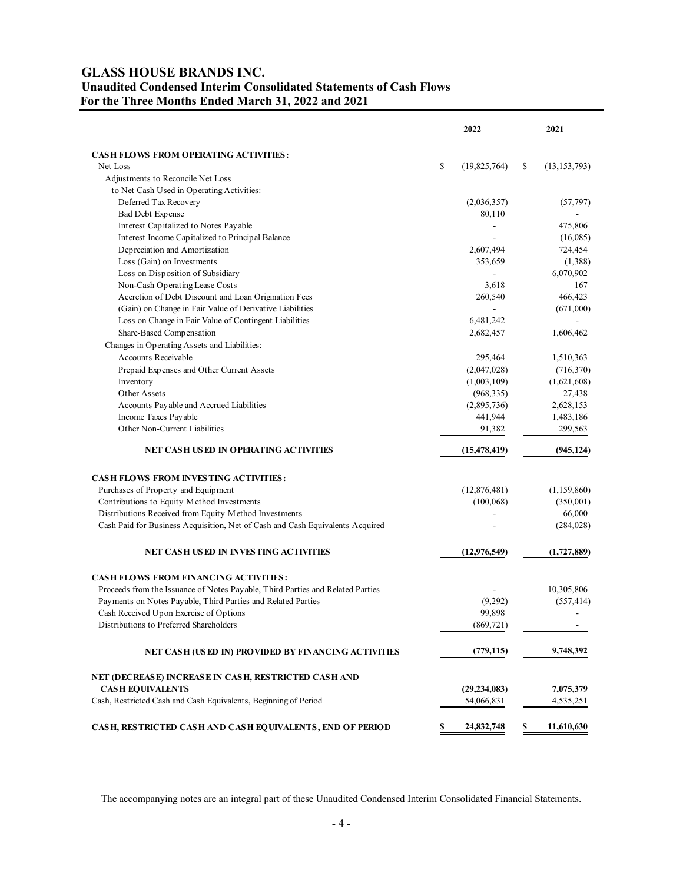# **GLASS HOUSE BRANDS INC. Unaudited Condensed Interim Consolidated Statements of Cash Flows For the Three Months Ended March 31, 2022 and 2021**

|                                                                                | 2022               |    | 2021           |
|--------------------------------------------------------------------------------|--------------------|----|----------------|
| <b>CASH FLOWS FROM OPERATING ACTIVITIES:</b>                                   |                    |    |                |
| Net Loss                                                                       | \$<br>(19,825,764) | \$ | (13, 153, 793) |
| Adjustments to Reconcile Net Loss                                              |                    |    |                |
| to Net Cash Used in Operating Activities:                                      |                    |    |                |
| Deferred Tax Recovery                                                          | (2,036,357)        |    | (57, 797)      |
| Bad Debt Expense                                                               | 80,110             |    |                |
| Interest Capitalized to Notes Payable                                          |                    |    | 475,806        |
| Interest Income Capitalized to Principal Balance                               |                    |    | (16,085)       |
| Depreciation and Amortization                                                  | 2,607,494          |    | 724,454        |
| Loss (Gain) on Investments                                                     | 353,659            |    | (1,388)        |
| Loss on Disposition of Subsidiary                                              |                    |    | 6,070,902      |
| Non-Cash Operating Lease Costs                                                 | 3,618              |    | 167            |
| Accretion of Debt Discount and Loan Origination Fees                           | 260,540            |    | 466,423        |
| (Gain) on Change in Fair Value of Derivative Liabilities                       |                    |    | (671,000)      |
| Loss on Change in Fair Value of Contingent Liabilities                         | 6,481,242          |    |                |
| Share-Based Compensation                                                       | 2,682,457          |    | 1,606,462      |
| Changes in Operating Assets and Liabilities:                                   |                    |    |                |
| <b>Accounts Receivable</b>                                                     | 295,464            |    | 1,510,363      |
| Prepaid Expenses and Other Current Assets                                      | (2,047,028)        |    | (716,370)      |
| Inventory                                                                      | (1,003,109)        |    | (1,621,608)    |
| Other Assets                                                                   | (968, 335)         |    | 27,438         |
| Accounts Payable and Accrued Liabilities                                       | (2,895,736)        |    | 2,628,153      |
| Income Taxes Payable                                                           | 441,944            |    | 1,483,186      |
| Other Non-Current Liabilities                                                  | 91,382             |    | 299,563        |
| NET CASH USED IN OPERATING ACTIVITIES                                          | (15, 478, 419)     |    | (945, 124)     |
| <b>CASH FLOWS FROM INVESTING ACTIVITIES:</b>                                   |                    |    |                |
| Purchases of Property and Equipment                                            | (12,876,481)       |    | (1,159,860)    |
| Contributions to Equity Method Investments                                     | (100, 068)         |    | (350,001)      |
| Distributions Received from Equity Method Investments                          |                    |    | 66,000         |
| Cash Paid for Business Acquisition, Net of Cash and Cash Equivalents Acquired  |                    |    | (284, 028)     |
| NET CASH USED IN INVESTING ACTIVITIES                                          | (12, 976, 549)     |    | (1,727,889)    |
| <b>CASH FLOWS FROM FINANCING ACTIVITIES:</b>                                   |                    |    |                |
| Proceeds from the Issuance of Notes Payable, Third Parties and Related Parties |                    |    | 10,305,806     |
| Payments on Notes Payable, Third Parties and Related Parties                   | (9,292)            |    | (557, 414)     |
| Cash Received Upon Exercise of Options                                         | 99,898             |    |                |
| Distributions to Preferred Shareholders                                        | (869, 721)         |    |                |
| NET CASH (USED IN) PROVIDED BY FINANCING ACTIVITIES                            | (779, 115)         |    | 9,748,392      |
| NET (DECREASE) INCREASE IN CASH, RESTRICTED CASH AND                           |                    |    |                |
| <b>CASH EQUIVALENTS</b>                                                        | (29, 234, 083)     |    | 7,075,379      |
| Cash, Restricted Cash and Cash Equivalents, Beginning of Period                | 54,066,831         |    | 4,535,251      |
| CASH, RESTRICTED CASH AND CASH EQUIVALENTS, END OF PERIOD                      | \$<br>24,832,748   | \$ | 11,610,630     |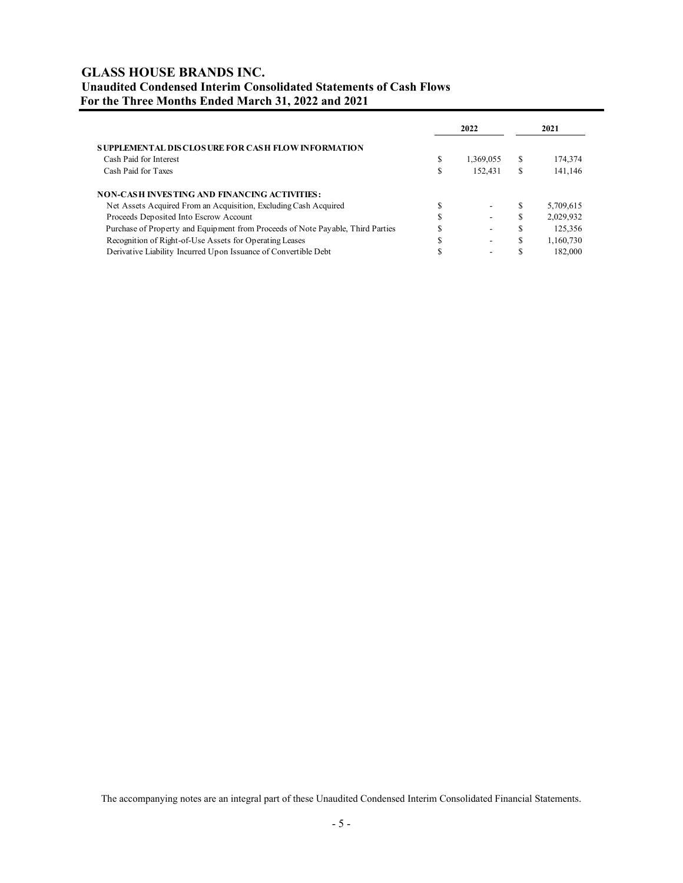# **GLASS HOUSE BRANDS INC. Unaudited Condensed Interim Consolidated Statements of Cash Flows For the Three Months Ended March 31, 2022 and 2021**

|                                                                                 |    | 2022      |     | 2021      |
|---------------------------------------------------------------------------------|----|-----------|-----|-----------|
| SUPPLEMENTAL DISCLOSURE FOR CASH FLOW INFORMATION                               |    |           |     |           |
| Cash Paid for Interest                                                          |    | 1,369,055 | \$. | 174,374   |
| Cash Paid for Taxes                                                             | ۰υ | 152,431   | S   | 141,146   |
| NON-CASH INVESTING AND FINANCING ACTIVITIES:                                    |    |           |     |           |
| Net Assets Acquired From an Acquisition, Excluding Cash Acquired                |    | ۰.        |     | 5,709,615 |
| Proceeds Deposited Into Escrow Account                                          |    | -         |     | 2,029,932 |
| Purchase of Property and Equipment from Proceeds of Note Payable, Third Parties |    | -         |     | 125,356   |
| Recognition of Right-of-Use Assets for Operating Leases                         |    | ۰         | J.  | 1,160,730 |
| Derivative Liability Incurred Upon Issuance of Convertible Debt                 |    | -         |     | 182,000   |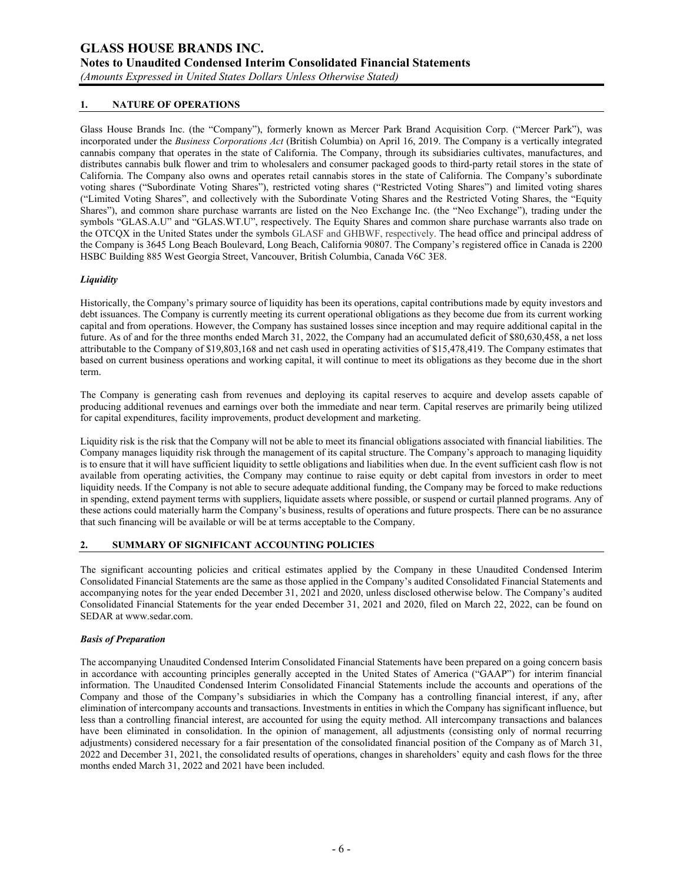*(Amounts Expressed in United States Dollars Unless Otherwise Stated)*

## **1. NATURE OF OPERATIONS**

Glass House Brands Inc. (the "Company"), formerly known as Mercer Park Brand Acquisition Corp. ("Mercer Park"), was incorporated under the *Business Corporations Act* (British Columbia) on April 16, 2019. The Company is a vertically integrated cannabis company that operates in the state of California. The Company, through its subsidiaries cultivates, manufactures, and distributes cannabis bulk flower and trim to wholesalers and consumer packaged goods to third-party retail stores in the state of California. The Company also owns and operates retail cannabis stores in the state of California. The Company's subordinate voting shares ("Subordinate Voting Shares"), restricted voting shares ("Restricted Voting Shares") and limited voting shares ("Limited Voting Shares", and collectively with the Subordinate Voting Shares and the Restricted Voting Shares, the "Equity Shares"), and common share purchase warrants are listed on the Neo Exchange Inc. (the "Neo Exchange"), trading under the symbols "GLAS.A.U" and "GLAS.WT.U", respectively. The Equity Shares and common share purchase warrants also trade on the OTCQX in the United States under the symbols GLASF and GHBWF, respectively. The head office and principal address of the Company is 3645 Long Beach Boulevard, Long Beach, California 90807. The Company's registered office in Canada is 2200 HSBC Building 885 West Georgia Street, Vancouver, British Columbia, Canada V6C 3E8.

### *Liquidity*

Historically, the Company's primary source of liquidity has been its operations, capital contributions made by equity investors and debt issuances. The Company is currently meeting its current operational obligations as they become due from its current working capital and from operations. However, the Company has sustained losses since inception and may require additional capital in the future. As of and for the three months ended March 31, 2022, the Company had an accumulated deficit of \$80,630,458, a net loss attributable to the Company of \$19,803,168 and net cash used in operating activities of \$15,478,419. The Company estimates that based on current business operations and working capital, it will continue to meet its obligations as they become due in the short term.

The Company is generating cash from revenues and deploying its capital reserves to acquire and develop assets capable of producing additional revenues and earnings over both the immediate and near term. Capital reserves are primarily being utilized for capital expenditures, facility improvements, product development and marketing.

Liquidity risk is the risk that the Company will not be able to meet its financial obligations associated with financial liabilities. The Company manages liquidity risk through the management of its capital structure. The Company's approach to managing liquidity is to ensure that it will have sufficient liquidity to settle obligations and liabilities when due. In the event sufficient cash flow is not available from operating activities, the Company may continue to raise equity or debt capital from investors in order to meet liquidity needs. If the Company is not able to secure adequate additional funding, the Company may be forced to make reductions in spending, extend payment terms with suppliers, liquidate assets where possible, or suspend or curtail planned programs. Any of these actions could materially harm the Company's business, results of operations and future prospects. There can be no assurance that such financing will be available or will be at terms acceptable to the Company.

#### **2. SUMMARY OF SIGNIFICANT ACCOUNTING POLICIES**

The significant accounting policies and critical estimates applied by the Company in these Unaudited Condensed Interim Consolidated Financial Statements are the same as those applied in the Company's audited Consolidated Financial Statements and accompanying notes for the year ended December 31, 2021 and 2020, unless disclosed otherwise below. The Company's audited Consolidated Financial Statements for the year ended December 31, 2021 and 2020, filed on March 22, 2022, can be found on SEDAR at www.sedar.com.

#### *Basis of Preparation*

The accompanying Unaudited Condensed Interim Consolidated Financial Statements have been prepared on a going concern basis in accordance with accounting principles generally accepted in the United States of America ("GAAP") for interim financial information. The Unaudited Condensed Interim Consolidated Financial Statements include the accounts and operations of the Company and those of the Company's subsidiaries in which the Company has a controlling financial interest, if any, after elimination of intercompany accounts and transactions. Investments in entities in which the Company has significant influence, but less than a controlling financial interest, are accounted for using the equity method. All intercompany transactions and balances have been eliminated in consolidation. In the opinion of management, all adjustments (consisting only of normal recurring adjustments) considered necessary for a fair presentation of the consolidated financial position of the Company as of March 31, 2022 and December 31, 2021, the consolidated results of operations, changes in shareholders' equity and cash flows for the three months ended March 31, 2022 and 2021 have been included.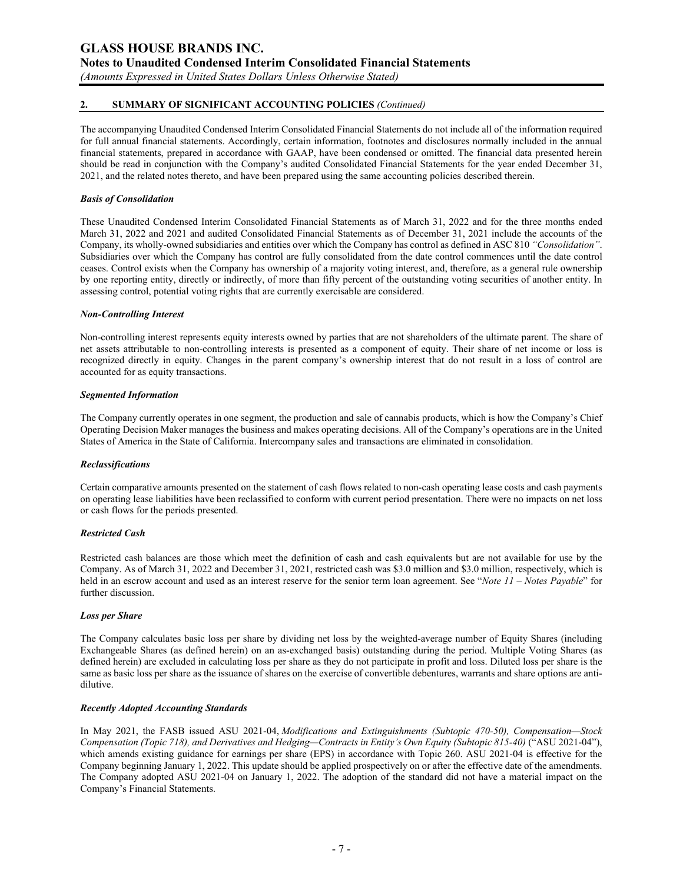**Notes to Unaudited Condensed Interim Consolidated Financial Statements** 

*(Amounts Expressed in United States Dollars Unless Otherwise Stated)*

### **2. SUMMARY OF SIGNIFICANT ACCOUNTING POLICIES** *(Continued)*

The accompanying Unaudited Condensed Interim Consolidated Financial Statements do not include all of the information required for full annual financial statements. Accordingly, certain information, footnotes and disclosures normally included in the annual financial statements, prepared in accordance with GAAP, have been condensed or omitted. The financial data presented herein should be read in conjunction with the Company's audited Consolidated Financial Statements for the year ended December 31, 2021, and the related notes thereto, and have been prepared using the same accounting policies described therein.

#### *Basis of Consolidation*

These Unaudited Condensed Interim Consolidated Financial Statements as of March 31, 2022 and for the three months ended March 31, 2022 and 2021 and audited Consolidated Financial Statements as of December 31, 2021 include the accounts of the Company, its wholly-owned subsidiaries and entities over which the Company has control as defined in ASC 810 *"Consolidation"*. Subsidiaries over which the Company has control are fully consolidated from the date control commences until the date control ceases. Control exists when the Company has ownership of a majority voting interest, and, therefore, as a general rule ownership by one reporting entity, directly or indirectly, of more than fifty percent of the outstanding voting securities of another entity. In assessing control, potential voting rights that are currently exercisable are considered.

#### *Non-Controlling Interest*

Non-controlling interest represents equity interests owned by parties that are not shareholders of the ultimate parent. The share of net assets attributable to non-controlling interests is presented as a component of equity. Their share of net income or loss is recognized directly in equity. Changes in the parent company's ownership interest that do not result in a loss of control are accounted for as equity transactions.

#### *Segmented Information*

The Company currently operates in one segment, the production and sale of cannabis products, which is how the Company's Chief Operating Decision Maker manages the business and makes operating decisions. All of the Company's operations are in the United States of America in the State of California. Intercompany sales and transactions are eliminated in consolidation.

#### *Reclassifications*

Certain comparative amounts presented on the statement of cash flows related to non-cash operating lease costs and cash payments on operating lease liabilities have been reclassified to conform with current period presentation. There were no impacts on net loss or cash flows for the periods presented.

#### *Restricted Cash*

Restricted cash balances are those which meet the definition of cash and cash equivalents but are not available for use by the Company. As of March 31, 2022 and December 31, 2021, restricted cash was \$3.0 million and \$3.0 million, respectively, which is held in an escrow account and used as an interest reserve for the senior term loan agreement. See "*Note 11 – Notes Payable*" for further discussion.

#### *Loss per Share*

The Company calculates basic loss per share by dividing net loss by the weighted-average number of Equity Shares (including Exchangeable Shares (as defined herein) on an as-exchanged basis) outstanding during the period. Multiple Voting Shares (as defined herein) are excluded in calculating loss per share as they do not participate in profit and loss. Diluted loss per share is the same as basic loss per share as the issuance of shares on the exercise of convertible debentures, warrants and share options are antidilutive.

#### *Recently Adopted Accounting Standards*

In May 2021, the FASB issued ASU 2021-04, *Modifications and Extinguishments (Subtopic 470-50), Compensation—Stock Compensation (Topic 718), and Derivatives and Hedging—Contracts in Entity's Own Equity (Subtopic 815-40)* ("ASU 2021-04"), which amends existing guidance for earnings per share (EPS) in accordance with Topic 260. ASU 2021-04 is effective for the Company beginning January 1, 2022. This update should be applied prospectively on or after the effective date of the amendments. The Company adopted ASU 2021-04 on January 1, 2022. The adoption of the standard did not have a material impact on the Company's Financial Statements.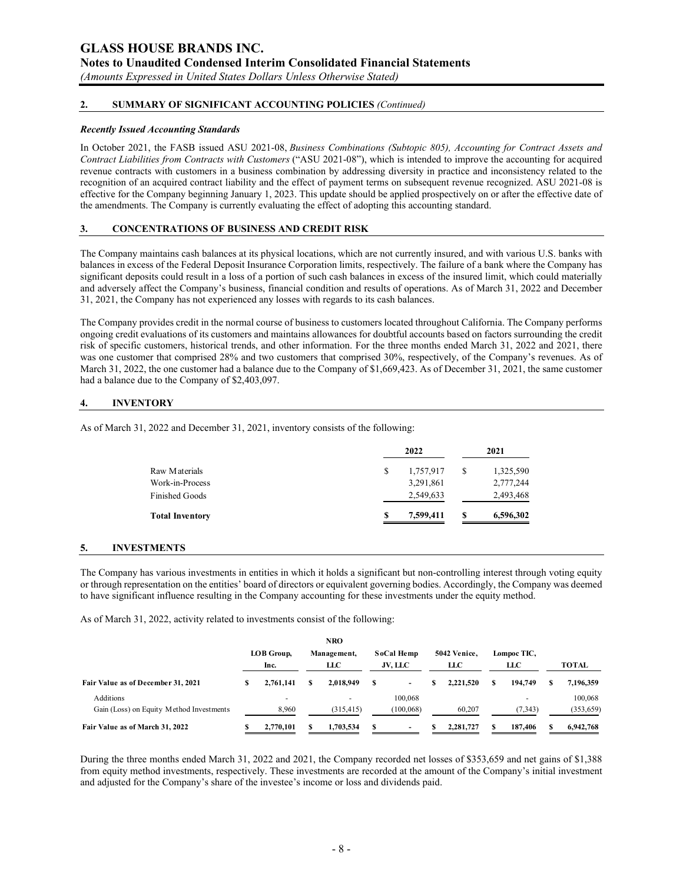**Notes to Unaudited Condensed Interim Consolidated Financial Statements** 

*(Amounts Expressed in United States Dollars Unless Otherwise Stated)*

### **2. SUMMARY OF SIGNIFICANT ACCOUNTING POLICIES** *(Continued)*

#### *Recently Issued Accounting Standards*

In October 2021, the FASB issued ASU 2021-08, *Business Combinations (Subtopic 805), Accounting for Contract Assets and Contract Liabilities from Contracts with Customers* ("ASU 2021-08"), which is intended to improve the accounting for acquired revenue contracts with customers in a business combination by addressing diversity in practice and inconsistency related to the recognition of an acquired contract liability and the effect of payment terms on subsequent revenue recognized. ASU 2021-08 is effective for the Company beginning January 1, 2023. This update should be applied prospectively on or after the effective date of the amendments. The Company is currently evaluating the effect of adopting this accounting standard.

### **3. CONCENTRATIONS OF BUSINESS AND CREDIT RISK**

The Company maintains cash balances at its physical locations, which are not currently insured, and with various U.S. banks with balances in excess of the Federal Deposit Insurance Corporation limits, respectively. The failure of a bank where the Company has significant deposits could result in a loss of a portion of such cash balances in excess of the insured limit, which could materially and adversely affect the Company's business, financial condition and results of operations. As of March 31, 2022 and December 31, 2021, the Company has not experienced any losses with regards to its cash balances.

The Company provides credit in the normal course of business to customers located throughout California. The Company performs ongoing credit evaluations of its customers and maintains allowances for doubtful accounts based on factors surrounding the credit risk of specific customers, historical trends, and other information. For the three months ended March 31, 2022 and 2021, there was one customer that comprised 28% and two customers that comprised 30%, respectively, of the Company's revenues. As of March 31, 2022, the one customer had a balance due to the Company of \$1,669,423. As of December 31, 2021, the same customer had a balance due to the Company of \$2,403,097.

### **4. INVENTORY**

As of March 31, 2022 and December 31, 2021, inventory consists of the following:

|                        | 2022 |           |    | 2021      |  |  |
|------------------------|------|-----------|----|-----------|--|--|
| Raw Materials          | \$   | 1,757,917 | \$ | 1,325,590 |  |  |
| Work-in-Process        |      | 3,291,861 |    | 2,777,244 |  |  |
| <b>Finished Goods</b>  |      | 2,549,633 |    | 2,493,468 |  |  |
| <b>Total Inventory</b> | S    | 7,599,411 | S  | 6,596,302 |  |  |
|                        |      |           |    |           |  |  |

#### **5. INVESTMENTS**

The Company has various investments in entities in which it holds a significant but non-controlling interest through voting equity or through representation on the entities' board of directors or equivalent governing bodies. Accordingly, the Company was deemed to have significant influence resulting in the Company accounting for these investments under the equity method.

As of March 31, 2022, activity related to investments consist of the following:

|                                          |   |                          | <b>NRO</b>  |   |            |   |              |             |              |
|------------------------------------------|---|--------------------------|-------------|---|------------|---|--------------|-------------|--------------|
|                                          |   | LOB Group,               | Management, |   | SoCal Hemp |   | 5042 Venice. | Lompoc TIC, |              |
|                                          |   | Inc.                     | LLC         |   | JV, LLC    |   | LLC          | LLC         | <b>TOTAL</b> |
| Fair Value as of December 31, 2021       | S | 2.761.141                | 2.018.949   | S | ۰          | S | 2.221.520    | 194,749     | 7,196,359    |
| Additions                                |   | $\overline{\phantom{0}}$ | <b>.</b>    |   | 100,068    |   |              | -           | 100,068      |
| Gain (Loss) on Equity Method Investments |   | 8.960                    | (315, 415)  |   | (100, 068) |   | 60,207       | (7, 343)    | (353, 659)   |
| Fair Value as of March 31, 2022          |   | 2,770,101                | 1.703.534   | S | -          |   | 2.281.727    | 187,406     | 6,942,768    |

During the three months ended March 31, 2022 and 2021, the Company recorded net losses of \$353,659 and net gains of \$1,388 from equity method investments, respectively. These investments are recorded at the amount of the Company's initial investment and adjusted for the Company's share of the investee's income or loss and dividends paid.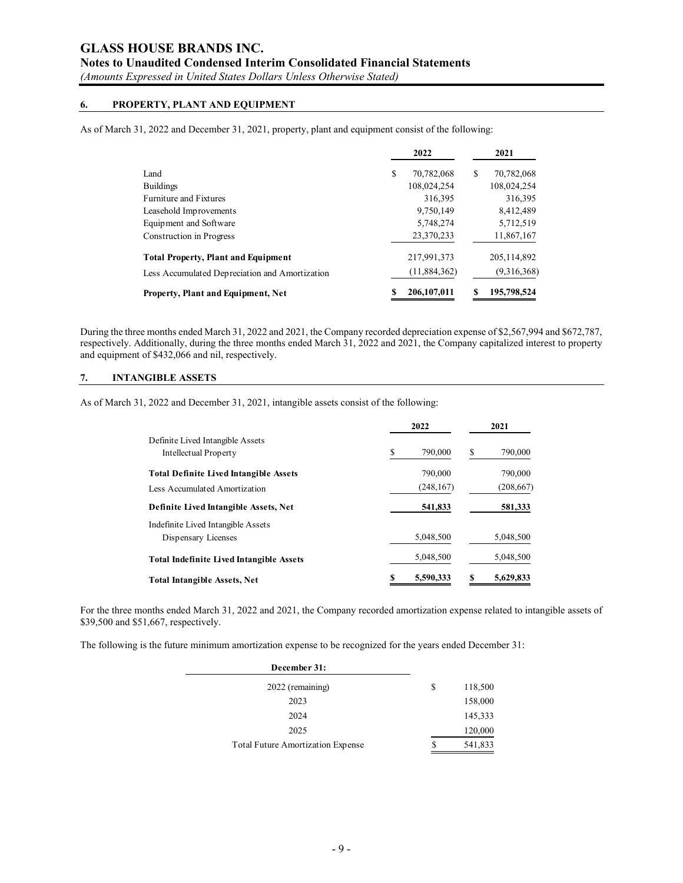**Notes to Unaudited Condensed Interim Consolidated Financial Statements** 

*(Amounts Expressed in United States Dollars Unless Otherwise Stated)*

### **6. PROPERTY, PLANT AND EQUIPMENT**

As of March 31, 2022 and December 31, 2021, property, plant and equipment consist of the following:

|                                                |   | 2022          |   | 2021          |
|------------------------------------------------|---|---------------|---|---------------|
| Land                                           | S | 70,782,068    | S | 70,782,068    |
| <b>Buildings</b>                               |   | 108,024,254   |   | 108,024,254   |
| Furniture and Fixtures                         |   | 316,395       |   | 316,395       |
| Leasehold Improvements                         |   | 9,750,149     |   | 8,412,489     |
| Equipment and Software                         |   | 5,748,274     |   | 5,712,519     |
| Construction in Progress                       |   | 23,370,233    |   | 11,867,167    |
| <b>Total Property, Plant and Equipment</b>     |   | 217,991,373   |   | 205, 114, 892 |
| Less Accumulated Depreciation and Amortization |   | (11,884,362)  |   | (9,316,368)   |
| Property, Plant and Equipment, Net             |   | 206, 107, 011 |   | 195,798,524   |

During the three months ended March 31, 2022 and 2021, the Company recorded depreciation expense of \$2,567,994 and \$672,787, respectively. Additionally, during the three months ended March 31, 2022 and 2021, the Company capitalized interest to property and equipment of \$432,066 and nil, respectively.

### **7. INTANGIBLE ASSETS**

As of March 31, 2022 and December 31, 2021, intangible assets consist of the following:

|                                                                  |   | 2021       |   |            |  |
|------------------------------------------------------------------|---|------------|---|------------|--|
| Definite Lived Intangible Assets<br><b>Intellectual Property</b> | S | 790,000    | S | 790,000    |  |
| <b>Total Definite Lived Intangible Assets</b>                    |   | 790,000    |   | 790,000    |  |
| Less Accumulated Amortization                                    |   | (248, 167) |   | (208, 667) |  |
| Definite Lived Intangible Assets, Net                            |   | 541,833    |   | 581,333    |  |
| Indefinite Lived Intangible Assets<br>Dispensary Licenses        |   | 5,048,500  |   | 5,048,500  |  |
| <b>Total Indefinite Lived Intangible Assets</b>                  |   | 5,048,500  |   | 5,048,500  |  |
| <b>Total Intangible Assets, Net</b>                              |   | 5,590,333  |   | 5,629,833  |  |

For the three months ended March 31, 2022 and 2021, the Company recorded amortization expense related to intangible assets of \$39,500 and \$51,667, respectively.

The following is the future minimum amortization expense to be recognized for the years ended December 31:

| December 31:                      |   |         |
|-----------------------------------|---|---------|
| 2022 (remaining)                  | S | 118,500 |
| 2023                              |   | 158,000 |
| 2024                              |   | 145,333 |
| 2025                              |   | 120,000 |
| Total Future Amortization Expense | S | 541,833 |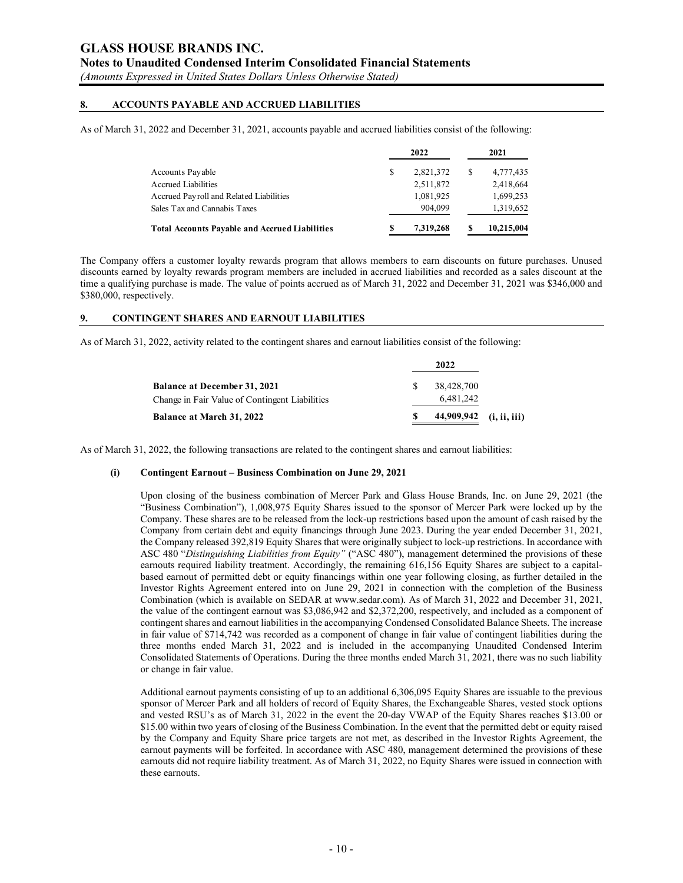**Notes to Unaudited Condensed Interim Consolidated Financial Statements** 

*(Amounts Expressed in United States Dollars Unless Otherwise Stated)*

### **8. ACCOUNTS PAYABLE AND ACCRUED LIABILITIES**

As of March 31, 2022 and December 31, 2021, accounts payable and accrued liabilities consist of the following:

|                                                       |   | 2022      | 2021       |
|-------------------------------------------------------|---|-----------|------------|
| Accounts Payable                                      | S | 2,821,372 | 4,777,435  |
| <b>Accrued Liabilities</b>                            |   | 2,511,872 | 2,418,664  |
| Accrued Payroll and Related Liabilities               |   | 1,081,925 | 1,699,253  |
| Sales Tax and Cannabis Taxes                          |   | 904.099   | 1,319,652  |
| <b>Total Accounts Payable and Accrued Liabilities</b> |   | 7.319.268 | 10,215,004 |

The Company offers a customer loyalty rewards program that allows members to earn discounts on future purchases. Unused discounts earned by loyalty rewards program members are included in accrued liabilities and recorded as a sales discount at the time a qualifying purchase is made. The value of points accrued as of March 31, 2022 and December 31, 2021 was \$346,000 and \$380,000, respectively.

### **9. CONTINGENT SHARES AND EARNOUT LIABILITIES**

As of March 31, 2022, activity related to the contingent shares and earnout liabilities consist of the following:

| Change in Fair Value of Contingent Liabilities | 6.481.242  |
|------------------------------------------------|------------|
| <b>Balance at December 31, 2021</b>            | 38,428,700 |
|                                                | 2022       |

As of March 31, 2022, the following transactions are related to the contingent shares and earnout liabilities:

#### **(i) Contingent Earnout – Business Combination on June 29, 2021**

Upon closing of the business combination of Mercer Park and Glass House Brands, Inc. on June 29, 2021 (the "Business Combination"), 1,008,975 Equity Shares issued to the sponsor of Mercer Park were locked up by the Company. These shares are to be released from the lock-up restrictions based upon the amount of cash raised by the Company from certain debt and equity financings through June 2023. During the year ended December 31, 2021, the Company released 392,819 Equity Shares that were originally subject to lock-up restrictions. In accordance with ASC 480 "*Distinguishing Liabilities from Equity"* ("ASC 480"), management determined the provisions of these earnouts required liability treatment. Accordingly, the remaining 616,156 Equity Shares are subject to a capitalbased earnout of permitted debt or equity financings within one year following closing, as further detailed in the Investor Rights Agreement entered into on June 29, 2021 in connection with the completion of the Business Combination (which is available on SEDAR at www.sedar.com). As of March 31, 2022 and December 31, 2021, the value of the contingent earnout was \$3,086,942 and \$2,372,200, respectively, and included as a component of contingent shares and earnout liabilities in the accompanying Condensed Consolidated Balance Sheets. The increase in fair value of \$714,742 was recorded as a component of change in fair value of contingent liabilities during the three months ended March 31, 2022 and is included in the accompanying Unaudited Condensed Interim Consolidated Statements of Operations. During the three months ended March 31, 2021, there was no such liability or change in fair value.

Additional earnout payments consisting of up to an additional 6,306,095 Equity Shares are issuable to the previous sponsor of Mercer Park and all holders of record of Equity Shares, the Exchangeable Shares, vested stock options and vested RSU's as of March 31, 2022 in the event the 20-day VWAP of the Equity Shares reaches \$13.00 or \$15.00 within two years of closing of the Business Combination. In the event that the permitted debt or equity raised by the Company and Equity Share price targets are not met, as described in the Investor Rights Agreement, the earnout payments will be forfeited. In accordance with ASC 480, management determined the provisions of these earnouts did not require liability treatment. As of March 31, 2022, no Equity Shares were issued in connection with these earnouts.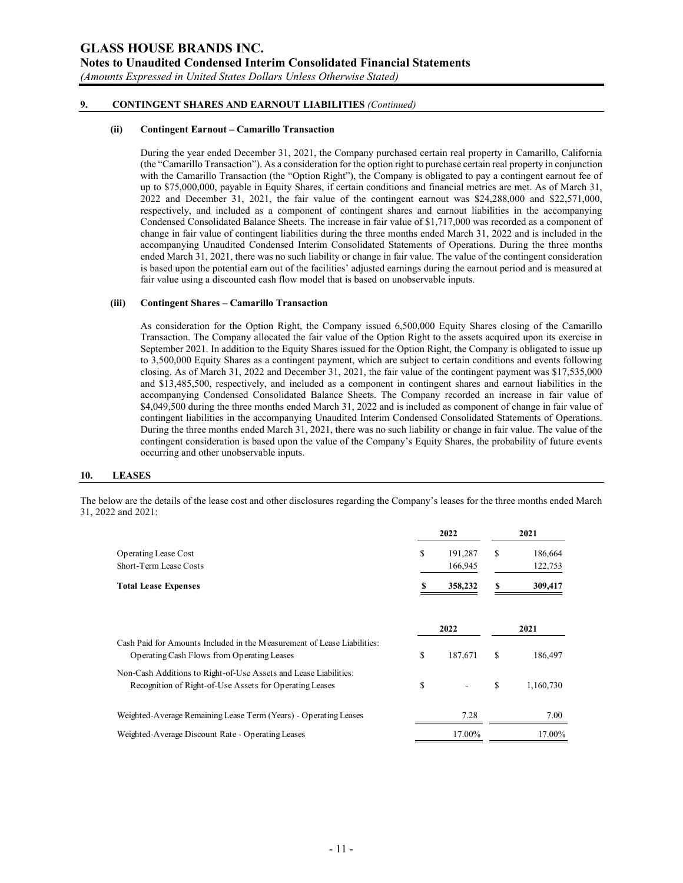*(Amounts Expressed in United States Dollars Unless Otherwise Stated)*

### **9. CONTINGENT SHARES AND EARNOUT LIABILITIES** *(Continued)*

#### **(ii) Contingent Earnout – Camarillo Transaction**

During the year ended December 31, 2021, the Company purchased certain real property in Camarillo, California (the "Camarillo Transaction"). As a consideration for the option right to purchase certain real property in conjunction with the Camarillo Transaction (the "Option Right"), the Company is obligated to pay a contingent earnout fee of up to \$75,000,000, payable in Equity Shares, if certain conditions and financial metrics are met. As of March 31, 2022 and December 31, 2021, the fair value of the contingent earnout was \$24,288,000 and \$22,571,000, respectively, and included as a component of contingent shares and earnout liabilities in the accompanying Condensed Consolidated Balance Sheets. The increase in fair value of \$1,717,000 was recorded as a component of change in fair value of contingent liabilities during the three months ended March 31, 2022 and is included in the accompanying Unaudited Condensed Interim Consolidated Statements of Operations. During the three months ended March 31, 2021, there was no such liability or change in fair value. The value of the contingent consideration is based upon the potential earn out of the facilities' adjusted earnings during the earnout period and is measured at fair value using a discounted cash flow model that is based on unobservable inputs.

#### **(iii) Contingent Shares – Camarillo Transaction**

As consideration for the Option Right, the Company issued 6,500,000 Equity Shares closing of the Camarillo Transaction. The Company allocated the fair value of the Option Right to the assets acquired upon its exercise in September 2021. In addition to the Equity Shares issued for the Option Right, the Company is obligated to issue up to 3,500,000 Equity Shares as a contingent payment, which are subject to certain conditions and events following closing. As of March 31, 2022 and December 31, 2021, the fair value of the contingent payment was \$17,535,000 and \$13,485,500, respectively, and included as a component in contingent shares and earnout liabilities in the accompanying Condensed Consolidated Balance Sheets. The Company recorded an increase in fair value of \$4,049,500 during the three months ended March 31, 2022 and is included as component of change in fair value of contingent liabilities in the accompanying Unaudited Interim Condensed Consolidated Statements of Operations. During the three months ended March 31, 2021, there was no such liability or change in fair value. The value of the contingent consideration is based upon the value of the Company's Equity Shares, the probability of future events occurring and other unobservable inputs.

#### **10. LEASES**

The below are the details of the lease cost and other disclosures regarding the Company's leases for the three months ended March 31, 2022 and 2021:

|                                                                                                                             |    | 2022               |   | 2021               |
|-----------------------------------------------------------------------------------------------------------------------------|----|--------------------|---|--------------------|
| <b>Operating Lease Cost</b><br>Short-Term Lease Costs                                                                       | S  | 191,287<br>166,945 | S | 186,664<br>122,753 |
| <b>Total Lease Expenses</b>                                                                                                 |    | 358,232            | S | 309,417            |
|                                                                                                                             |    | 2022               |   | 2021               |
| Cash Paid for Amounts Included in the Measurement of Lease Liabilities:<br>Operating Cash Flows from Operating Leases       | S  | 187,671            | S | 186,497            |
| Non-Cash Additions to Right-of-Use Assets and Lease Liabilities:<br>Recognition of Right-of-Use Assets for Operating Leases | \$ |                    | S | 1,160,730          |
| Weighted-Average Remaining Lease Term (Years) - Operating Leases                                                            |    | 7.28               |   | 7.00               |
| Weighted-Average Discount Rate - Operating Leases                                                                           |    | 17.00%             |   | 17.00%             |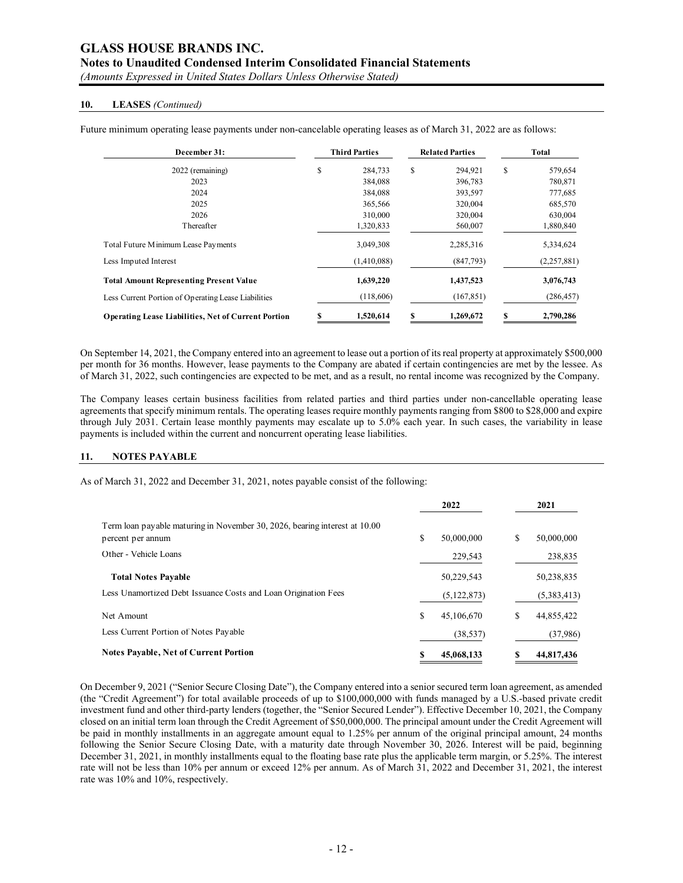# **Notes to Unaudited Condensed Interim Consolidated Financial Statements**

*(Amounts Expressed in United States Dollars Unless Otherwise Stated)*

#### **10. LEASES** *(Continued)*

| December 31:                                               | <b>Third Parties</b> |   | <b>Related Parties</b> | Total         |
|------------------------------------------------------------|----------------------|---|------------------------|---------------|
| 2022 (remaining)                                           | \$<br>284,733        | S | 294,921                | \$<br>579,654 |
| 2023                                                       | 384,088              |   | 396,783                | 780,871       |
| 2024                                                       | 384,088              |   | 393,597                | 777,685       |
| 2025                                                       | 365,566              |   | 320,004                | 685,570       |
| 2026                                                       | 310,000              |   | 320,004                | 630,004       |
| Thereafter                                                 | 1,320,833            |   | 560,007                | 1,880,840     |
| Total Future M inimum Lease Payments                       | 3,049,308            |   | 2,285,316              | 5,334,624     |
| Less Imputed Interest                                      | (1,410,088)          |   | (847,793)              | (2,257,881)   |
| <b>Total Amount Representing Present Value</b>             | 1,639,220            |   | 1,437,523              | 3,076,743     |
| Less Current Portion of Operating Lease Liabilities        | (118,606)            |   | (167, 851)             | (286, 457)    |
| <b>Operating Lease Liabilities, Net of Current Portion</b> | 1,520,614            |   | 1,269,672              | 2,790,286     |

Future minimum operating lease payments under non-cancelable operating leases as of March 31, 2022 are as follows:

On September 14, 2021, the Company entered into an agreement to lease out a portion of its real property at approximately \$500,000 per month for 36 months. However, lease payments to the Company are abated if certain contingencies are met by the lessee. As of March 31, 2022, such contingencies are expected to be met, and as a result, no rental income was recognized by the Company.

The Company leases certain business facilities from related parties and third parties under non-cancellable operating lease agreements that specify minimum rentals. The operating leases require monthly payments ranging from \$800 to \$28,000 and expire through July 2031. Certain lease monthly payments may escalate up to 5.0% each year. In such cases, the variability in lease payments is included within the current and noncurrent operating lease liabilities.

#### **11. NOTES PAYABLE**

As of March 31, 2022 and December 31, 2021, notes payable consist of the following:

|                                                                                                 | 2022             |   | 2021        |
|-------------------------------------------------------------------------------------------------|------------------|---|-------------|
| Term loan payable maturing in November 30, 2026, bearing interest at 10.00<br>percent per annum | \$<br>50,000,000 | S | 50,000,000  |
| Other - Vehicle Loans                                                                           | 229,543          |   | 238,835     |
| <b>Total Notes Pavable</b>                                                                      | 50,229,543       |   | 50,238,835  |
| Less Unamortized Debt Issuance Costs and Loan Origination Fees                                  | (5, 122, 873)    |   | (5,383,413) |
| Net Amount                                                                                      | \$<br>45,106,670 | S | 44,855,422  |
| Less Current Portion of Notes Payable                                                           | (38, 537)        |   | (37,986)    |
| <b>Notes Payable, Net of Current Portion</b>                                                    | \$<br>45,068,133 |   | 44,817,436  |

On December 9, 2021 ("Senior Secure Closing Date"), the Company entered into a senior secured term loan agreement, as amended (the "Credit Agreement") for total available proceeds of up to \$100,000,000 with funds managed by a U.S.-based private credit investment fund and other third-party lenders (together, the "Senior Secured Lender"). Effective December 10, 2021, the Company closed on an initial term loan through the Credit Agreement of \$50,000,000. The principal amount under the Credit Agreement will be paid in monthly installments in an aggregate amount equal to 1.25% per annum of the original principal amount, 24 months following the Senior Secure Closing Date, with a maturity date through November 30, 2026. Interest will be paid, beginning December 31, 2021, in monthly installments equal to the floating base rate plus the applicable term margin, or 5.25%. The interest rate will not be less than 10% per annum or exceed 12% per annum. As of March 31, 2022 and December 31, 2021, the interest rate was 10% and 10%, respectively.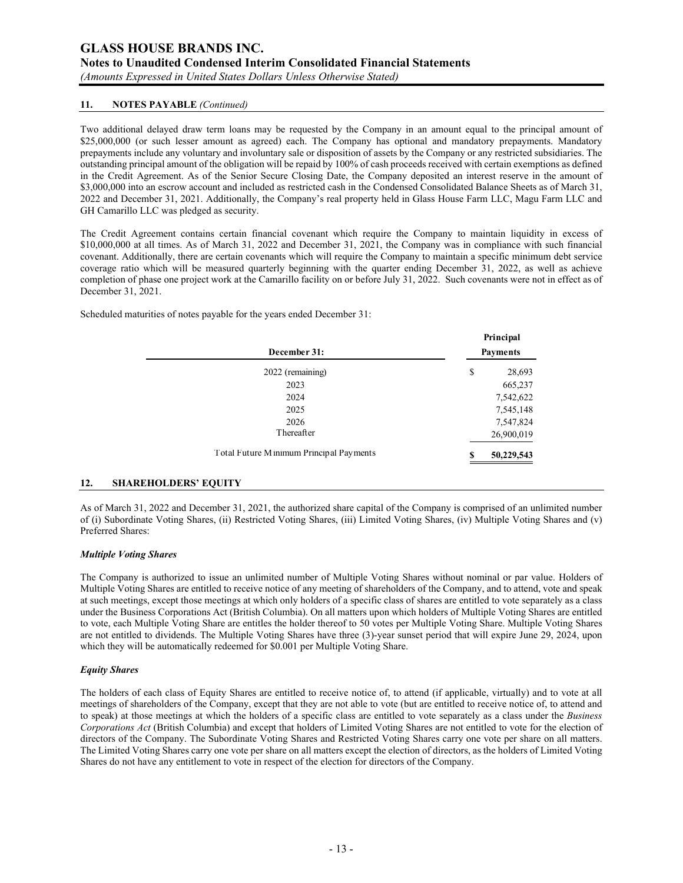*(Amounts Expressed in United States Dollars Unless Otherwise Stated)*

### **11. NOTES PAYABLE** *(Continued)*

Two additional delayed draw term loans may be requested by the Company in an amount equal to the principal amount of \$25,000,000 (or such lesser amount as agreed) each. The Company has optional and mandatory prepayments. Mandatory prepayments include any voluntary and involuntary sale or disposition of assets by the Company or any restricted subsidiaries. The outstanding principal amount of the obligation will be repaid by 100% of cash proceeds received with certain exemptions as defined in the Credit Agreement. As of the Senior Secure Closing Date, the Company deposited an interest reserve in the amount of \$3,000,000 into an escrow account and included as restricted cash in the Condensed Consolidated Balance Sheets as of March 31, 2022 and December 31, 2021. Additionally, the Company's real property held in Glass House Farm LLC, Magu Farm LLC and GH Camarillo LLC was pledged as security.

The Credit Agreement contains certain financial covenant which require the Company to maintain liquidity in excess of \$10,000,000 at all times. As of March 31, 2022 and December 31, 2021, the Company was in compliance with such financial covenant. Additionally, there are certain covenants which will require the Company to maintain a specific minimum debt service coverage ratio which will be measured quarterly beginning with the quarter ending December 31, 2022, as well as achieve completion of phase one project work at the Camarillo facility on or before July 31, 2022. Such covenants were not in effect as of December 31, 2021.

Scheduled maturities of notes payable for the years ended December 31:

| December 31:                             |    | Principal<br><b>Payments</b> |  |  |
|------------------------------------------|----|------------------------------|--|--|
| 2022 (remaining)                         | \$ | 28,693                       |  |  |
| 2023                                     |    | 665,237                      |  |  |
| 2024                                     |    | 7,542,622                    |  |  |
| 2025                                     |    | 7,545,148                    |  |  |
| 2026                                     |    | 7,547,824                    |  |  |
| Thereafter                               |    | 26,900,019                   |  |  |
| Total Future M inimum Principal Payments | S  | 50,229,543                   |  |  |

### **12. SHAREHOLDERS' EQUITY**

As of March 31, 2022 and December 31, 2021, the authorized share capital of the Company is comprised of an unlimited number of (i) Subordinate Voting Shares, (ii) Restricted Voting Shares, (iii) Limited Voting Shares, (iv) Multiple Voting Shares and (v) Preferred Shares:

#### *Multiple Voting Shares*

The Company is authorized to issue an unlimited number of Multiple Voting Shares without nominal or par value. Holders of Multiple Voting Shares are entitled to receive notice of any meeting of shareholders of the Company, and to attend, vote and speak at such meetings, except those meetings at which only holders of a specific class of shares are entitled to vote separately as a class under the Business Corporations Act (British Columbia). On all matters upon which holders of Multiple Voting Shares are entitled to vote, each Multiple Voting Share are entitles the holder thereof to 50 votes per Multiple Voting Share. Multiple Voting Shares are not entitled to dividends. The Multiple Voting Shares have three (3)-year sunset period that will expire June 29, 2024, upon which they will be automatically redeemed for \$0.001 per Multiple Voting Share.

#### *Equity Shares*

The holders of each class of Equity Shares are entitled to receive notice of, to attend (if applicable, virtually) and to vote at all meetings of shareholders of the Company, except that they are not able to vote (but are entitled to receive notice of, to attend and to speak) at those meetings at which the holders of a specific class are entitled to vote separately as a class under the *Business Corporations Act* (British Columbia) and except that holders of Limited Voting Shares are not entitled to vote for the election of directors of the Company. The Subordinate Voting Shares and Restricted Voting Shares carry one vote per share on all matters. The Limited Voting Shares carry one vote per share on all matters except the election of directors, as the holders of Limited Voting Shares do not have any entitlement to vote in respect of the election for directors of the Company.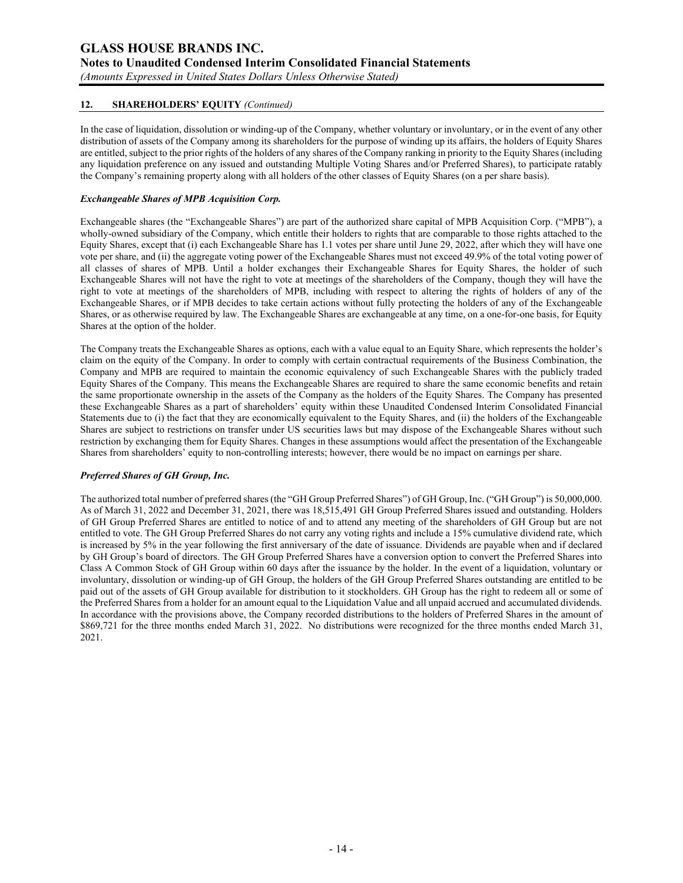## **GLASS HOUSE BRANDS INC. Notes to Unaudited Condensed Interim Consolidated Financial Statements**  *(Amounts Expressed in United States Dollars Unless Otherwise Stated)*

**12. SHAREHOLDERS' EQUITY** *(Continued)*

In the case of liquidation, dissolution or winding-up of the Company, whether voluntary or involuntary, or in the event of any other distribution of assets of the Company among its shareholders for the purpose of winding up its affairs, the holders of Equity Shares are entitled, subject to the prior rights of the holders of any shares of the Company ranking in priority to the Equity Shares (including any liquidation preference on any issued and outstanding Multiple Voting Shares and/or Preferred Shares), to participate ratably the Company's remaining property along with all holders of the other classes of Equity Shares (on a per share basis).

#### *Exchangeable Shares of MPB Acquisition Corp.*

Exchangeable shares (the "Exchangeable Shares") are part of the authorized share capital of MPB Acquisition Corp. ("MPB"), a wholly-owned subsidiary of the Company, which entitle their holders to rights that are comparable to those rights attached to the Equity Shares, except that (i) each Exchangeable Share has 1.1 votes per share until June 29, 2022, after which they will have one vote per share, and (ii) the aggregate voting power of the Exchangeable Shares must not exceed 49.9% of the total voting power of all classes of shares of MPB. Until a holder exchanges their Exchangeable Shares for Equity Shares, the holder of such Exchangeable Shares will not have the right to vote at meetings of the shareholders of the Company, though they will have the right to vote at meetings of the shareholders of MPB, including with respect to altering the rights of holders of any of the Exchangeable Shares, or if MPB decides to take certain actions without fully protecting the holders of any of the Exchangeable Shares, or as otherwise required by law. The Exchangeable Shares are exchangeable at any time, on a one-for-one basis, for Equity Shares at the option of the holder.

The Company treats the Exchangeable Shares as options, each with a value equal to an Equity Share, which represents the holder's claim on the equity of the Company. In order to comply with certain contractual requirements of the Business Combination, the Company and MPB are required to maintain the economic equivalency of such Exchangeable Shares with the publicly traded Equity Shares of the Company. This means the Exchangeable Shares are required to share the same economic benefits and retain the same proportionate ownership in the assets of the Company as the holders of the Equity Shares. The Company has presented these Exchangeable Shares as a part of shareholders' equity within these Unaudited Condensed Interim Consolidated Financial Statements due to (i) the fact that they are economically equivalent to the Equity Shares, and (ii) the holders of the Exchangeable Shares are subject to restrictions on transfer under US securities laws but may dispose of the Exchangeable Shares without such restriction by exchanging them for Equity Shares. Changes in these assumptions would affect the presentation of the Exchangeable Shares from shareholders' equity to non-controlling interests; however, there would be no impact on earnings per share.

#### *Preferred Shares of GH Group, Inc.*

The authorized total number of preferred shares (the "GH Group Preferred Shares") of GH Group, Inc. ("GH Group") is 50,000,000. As of March 31, 2022 and December 31, 2021, there was 18,515,491 GH Group Preferred Shares issued and outstanding. Holders of GH Group Preferred Shares are entitled to notice of and to attend any meeting of the shareholders of GH Group but are not entitled to vote. The GH Group Preferred Shares do not carry any voting rights and include a 15% cumulative dividend rate, which is increased by 5% in the year following the first anniversary of the date of issuance. Dividends are payable when and if declared by GH Group's board of directors. The GH Group Preferred Shares have a conversion option to convert the Preferred Shares into Class A Common Stock of GH Group within 60 days after the issuance by the holder. In the event of a liquidation, voluntary or involuntary, dissolution or winding-up of GH Group, the holders of the GH Group Preferred Shares outstanding are entitled to be paid out of the assets of GH Group available for distribution to it stockholders. GH Group has the right to redeem all or some of the Preferred Shares from a holder for an amount equal to the Liquidation Value and all unpaid accrued and accumulated dividends. In accordance with the provisions above, the Company recorded distributions to the holders of Preferred Shares in the amount of \$869,721 for the three months ended March 31, 2022. No distributions were recognized for the three months ended March 31, 2021.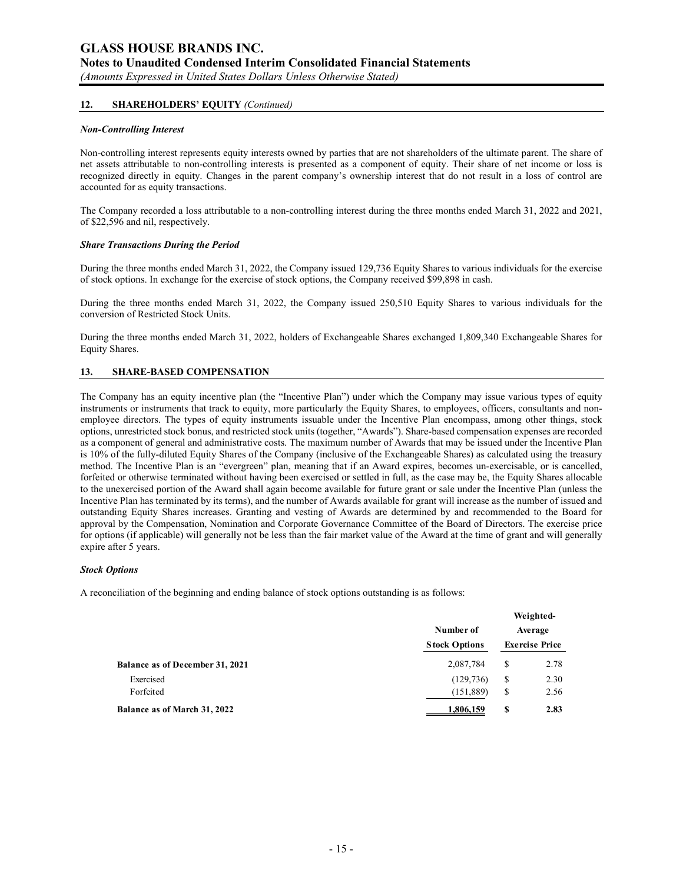*(Amounts Expressed in United States Dollars Unless Otherwise Stated)*

#### **12. SHAREHOLDERS' EQUITY** *(Continued)*

#### *Non-Controlling Interest*

Non-controlling interest represents equity interests owned by parties that are not shareholders of the ultimate parent. The share of net assets attributable to non-controlling interests is presented as a component of equity. Their share of net income or loss is recognized directly in equity. Changes in the parent company's ownership interest that do not result in a loss of control are accounted for as equity transactions.

The Company recorded a loss attributable to a non-controlling interest during the three months ended March 31, 2022 and 2021, of \$22,596 and nil, respectively.

#### *Share Transactions During the Period*

During the three months ended March 31, 2022, the Company issued 129,736 Equity Shares to various individuals for the exercise of stock options. In exchange for the exercise of stock options, the Company received \$99,898 in cash.

During the three months ended March 31, 2022, the Company issued 250,510 Equity Shares to various individuals for the conversion of Restricted Stock Units.

During the three months ended March 31, 2022, holders of Exchangeable Shares exchanged 1,809,340 Exchangeable Shares for Equity Shares.

#### **13. SHARE-BASED COMPENSATION**

The Company has an equity incentive plan (the "Incentive Plan") under which the Company may issue various types of equity instruments or instruments that track to equity, more particularly the Equity Shares, to employees, officers, consultants and nonemployee directors. The types of equity instruments issuable under the Incentive Plan encompass, among other things, stock options, unrestricted stock bonus, and restricted stock units (together, "Awards"). Share-based compensation expenses are recorded as a component of general and administrative costs. The maximum number of Awards that may be issued under the Incentive Plan is 10% of the fully-diluted Equity Shares of the Company (inclusive of the Exchangeable Shares) as calculated using the treasury method. The Incentive Plan is an "evergreen" plan, meaning that if an Award expires, becomes un-exercisable, or is cancelled, forfeited or otherwise terminated without having been exercised or settled in full, as the case may be, the Equity Shares allocable to the unexercised portion of the Award shall again become available for future grant or sale under the Incentive Plan (unless the Incentive Plan has terminated by its terms), and the number of Awards available for grant will increase as the number of issued and outstanding Equity Shares increases. Granting and vesting of Awards are determined by and recommended to the Board for approval by the Compensation, Nomination and Corporate Governance Committee of the Board of Directors. The exercise price for options (if applicable) will generally not be less than the fair market value of the Award at the time of grant and will generally expire after 5 years.

#### *Stock Options*

A reconciliation of the beginning and ending balance of stock options outstanding is as follows:

|                                        |                      |         | Weighted-             |
|----------------------------------------|----------------------|---------|-----------------------|
|                                        | Number of            | Average |                       |
|                                        | <b>Stock Options</b> |         | <b>Exercise Price</b> |
| <b>Balance as of December 31, 2021</b> | 2,087,784            | S       | 2.78                  |
| Exercised                              | (129, 736)           | S       | 2.30                  |
| Forfeited                              | (151, 889)           | S       | 2.56                  |
| Balance as of March 31, 2022           | 1,806,159            | \$      | 2.83                  |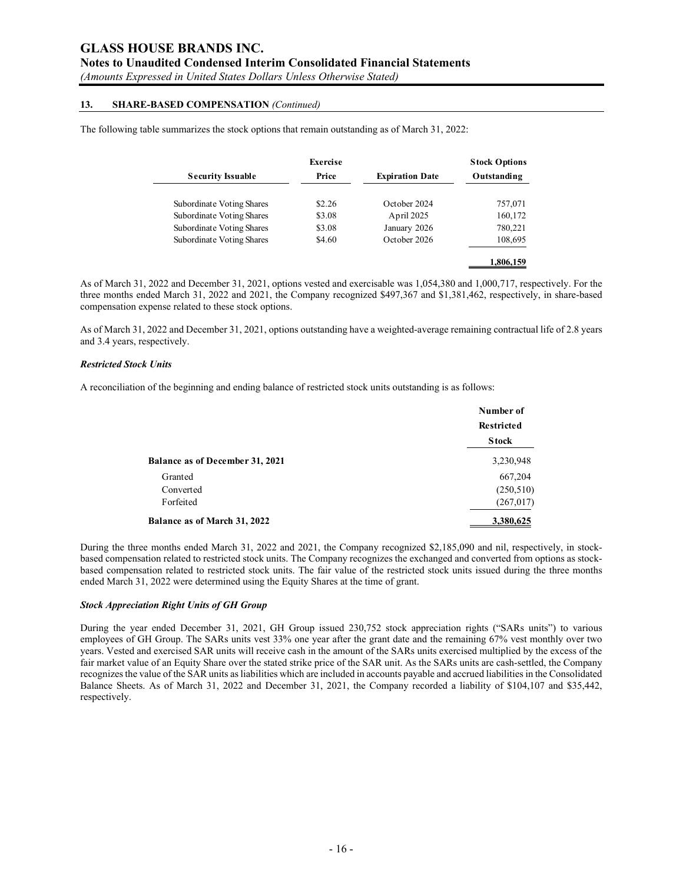### **Notes to Unaudited Condensed Interim Consolidated Financial Statements**

*(Amounts Expressed in United States Dollars Unless Otherwise Stated)*

#### **13. SHARE-BASED COMPENSATION** *(Continued)*

The following table summarizes the stock options that remain outstanding as of March 31, 2022:

|                           | Exercise |                        | <b>Stock Options</b> |
|---------------------------|----------|------------------------|----------------------|
| <b>Security Issuable</b>  | Price    | <b>Expiration Date</b> | Outstanding          |
| Subordinate Voting Shares | \$2.26   | October 2024           | 757,071              |
| Subordinate Voting Shares | \$3.08   | April 2025             | 160,172              |
| Subordinate Voting Shares | \$3.08   | January 2026           | 780,221              |
| Subordinate Voting Shares | \$4.60   | October 2026           | 108,695              |
|                           |          |                        |                      |
|                           |          |                        | 1,806,159            |

As of March 31, 2022 and December 31, 2021, options vested and exercisable was 1,054,380 and 1,000,717, respectively. For the three months ended March 31, 2022 and 2021, the Company recognized \$497,367 and \$1,381,462, respectively, in share-based compensation expense related to these stock options.

As of March 31, 2022 and December 31, 2021, options outstanding have a weighted-average remaining contractual life of 2.8 years and 3.4 years, respectively.

#### *Restricted Stock Units*

A reconciliation of the beginning and ending balance of restricted stock units outstanding is as follows:

|                                        | Number of<br><b>Restricted</b> |
|----------------------------------------|--------------------------------|
|                                        | <b>Stock</b>                   |
| <b>Balance as of December 31, 2021</b> | 3,230,948                      |
| Granted                                | 667,204                        |
| Converted                              | (250, 510)                     |
| Forfeited                              | (267, 017)                     |
| <b>Balance as of March 31, 2022</b>    | 3,380,625                      |

During the three months ended March 31, 2022 and 2021, the Company recognized \$2,185,090 and nil, respectively, in stockbased compensation related to restricted stock units. The Company recognizes the exchanged and converted from options as stockbased compensation related to restricted stock units. The fair value of the restricted stock units issued during the three months ended March 31, 2022 were determined using the Equity Shares at the time of grant.

#### *Stock Appreciation Right Units of GH Group*

During the year ended December 31, 2021, GH Group issued 230,752 stock appreciation rights ("SARs units") to various employees of GH Group. The SARs units vest 33% one year after the grant date and the remaining 67% vest monthly over two years. Vested and exercised SAR units will receive cash in the amount of the SARs units exercised multiplied by the excess of the fair market value of an Equity Share over the stated strike price of the SAR unit. As the SARs units are cash-settled, the Company recognizes the value of the SAR units as liabilities which are included in accounts payable and accrued liabilities in the Consolidated Balance Sheets. As of March 31, 2022 and December 31, 2021, the Company recorded a liability of \$104,107 and \$35,442, respectively.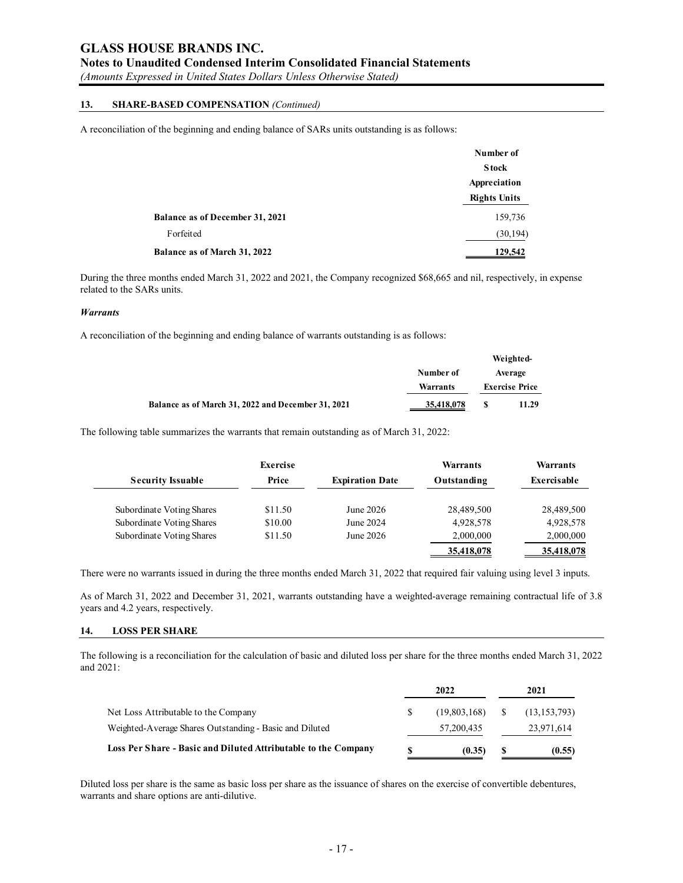# **Notes to Unaudited Condensed Interim Consolidated Financial Statements**

*(Amounts Expressed in United States Dollars Unless Otherwise Stated)*

# **13. SHARE-BASED COMPENSATION** *(Continued)*

A reconciliation of the beginning and ending balance of SARs units outstanding is as follows:

|                                        | Number of           |
|----------------------------------------|---------------------|
|                                        | <b>Stock</b>        |
|                                        | Appreciation        |
|                                        | <b>Rights Units</b> |
| <b>Balance as of December 31, 2021</b> | 159,736             |
| Forfeited                              | (30, 194)           |
| Balance as of March 31, 2022           | 129,542             |

During the three months ended March 31, 2022 and 2021, the Company recognized \$68,665 and nil, respectively, in expense related to the SARs units.

#### *Warrants*

A reconciliation of the beginning and ending balance of warrants outstanding is as follows:

|                                                    |                       |  | Weighted-             |
|----------------------------------------------------|-----------------------|--|-----------------------|
|                                                    | Number of<br>Warrants |  | Average               |
|                                                    |                       |  | <b>Exercise Price</b> |
| Balance as of March 31, 2022 and December 31, 2021 | 35,418,078            |  | 11.29                 |

The following table summarizes the warrants that remain outstanding as of March 31, 2022:

|                           | Exercise |                        | Warrants    | Warrants    |
|---------------------------|----------|------------------------|-------------|-------------|
| <b>Security Issuable</b>  | Price    | <b>Expiration Date</b> | Outstanding | Exercisable |
| Subordinate Voting Shares | \$11.50  | June 2026              | 28,489,500  | 28,489,500  |
| Subordinate Voting Shares | \$10.00  | June 2024              | 4.928.578   | 4,928,578   |
| Subordinate Voting Shares | \$11.50  | June 2026              | 2,000,000   | 2,000,000   |
|                           |          |                        | 35,418,078  | 35,418,078  |

There were no warrants issued in during the three months ended March 31, 2022 that required fair valuing using level 3 inputs.

As of March 31, 2022 and December 31, 2021, warrants outstanding have a weighted-average remaining contractual life of 3.8 years and 4.2 years, respectively.

#### **14. LOSS PER SHARE**

The following is a reconciliation for the calculation of basic and diluted loss per share for the three months ended March 31, 2022 and 2021:

|                                                                |   | 2022         |     | 2021           |
|----------------------------------------------------------------|---|--------------|-----|----------------|
| Net Loss Attributable to the Company                           |   | (19,803,168) | - S | (13, 153, 793) |
| Weighted-Average Shares Outstanding - Basic and Diluted        |   | 57, 200, 435 |     | 23,971,614     |
| Loss Per Share - Basic and Diluted Attributable to the Company | S | (0.35)       |     | (0.55)         |

Diluted loss per share is the same as basic loss per share as the issuance of shares on the exercise of convertible debentures, warrants and share options are anti-dilutive.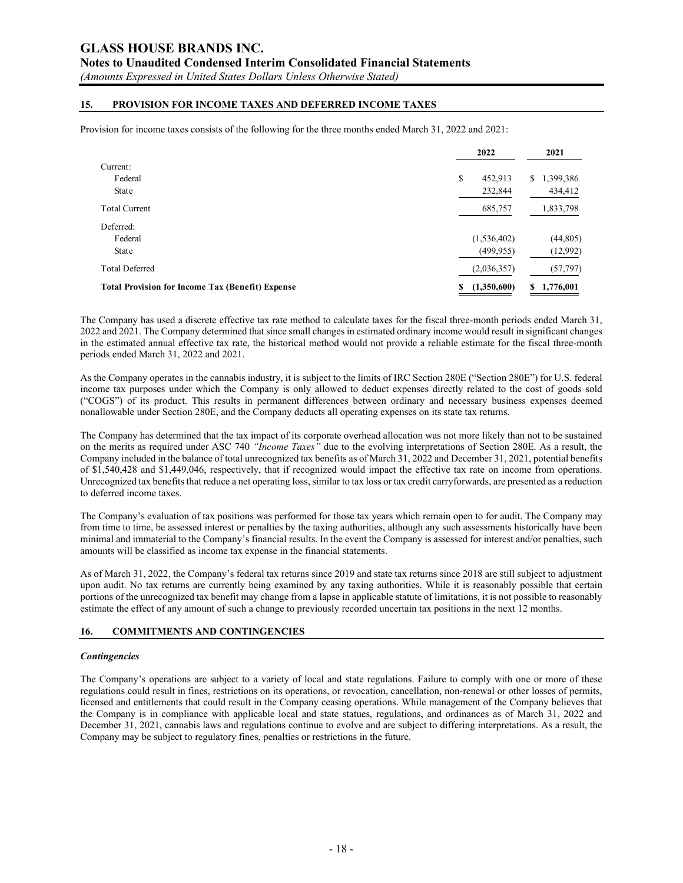## **Notes to Unaudited Condensed Interim Consolidated Financial Statements**

*(Amounts Expressed in United States Dollars Unless Otherwise Stated)*

### **15. PROVISION FOR INCOME TAXES AND DEFERRED INCOME TAXES**

Provision for income taxes consists of the following for the three months ended March 31, 2022 and 2021:

|                                                         | 2022             | 2021           |  |
|---------------------------------------------------------|------------------|----------------|--|
| Current:                                                |                  |                |  |
| Federal                                                 | \$<br>452,913    | 1,399,386<br>S |  |
| State                                                   | 232,844          | 434,412        |  |
| <b>Total Current</b>                                    | 685,757          | 1,833,798      |  |
| Deferred:                                               |                  |                |  |
| Federal                                                 | (1, 536, 402)    | (44,805)       |  |
| State                                                   | (499, 955)       | (12,992)       |  |
| <b>Total Deferred</b>                                   | (2,036,357)      | (57, 797)      |  |
| <b>Total Provision for Income Tax (Benefit) Expense</b> | (1,350,600)<br>S | 1,776,001<br>S |  |

The Company has used a discrete effective tax rate method to calculate taxes for the fiscal three-month periods ended March 31, 2022 and 2021. The Company determined that since small changes in estimated ordinary income would result in significant changes in the estimated annual effective tax rate, the historical method would not provide a reliable estimate for the fiscal three-month periods ended March 31, 2022 and 2021.

As the Company operates in the cannabis industry, it is subject to the limits of IRC Section 280E ("Section 280E") for U.S. federal income tax purposes under which the Company is only allowed to deduct expenses directly related to the cost of goods sold ("COGS") of its product. This results in permanent differences between ordinary and necessary business expenses deemed nonallowable under Section 280E, and the Company deducts all operating expenses on its state tax returns.

The Company has determined that the tax impact of its corporate overhead allocation was not more likely than not to be sustained on the merits as required under ASC 740 *"Income Taxes"* due to the evolving interpretations of Section 280E. As a result, the Company included in the balance of total unrecognized tax benefits as of March 31, 2022 and December 31, 2021, potential benefits of \$1,540,428 and \$1,449,046, respectively, that if recognized would impact the effective tax rate on income from operations. Unrecognized tax benefits that reduce a net operating loss, similar to tax loss or tax credit carryforwards, are presented as a reduction to deferred income taxes.

The Company's evaluation of tax positions was performed for those tax years which remain open to for audit. The Company may from time to time, be assessed interest or penalties by the taxing authorities, although any such assessments historically have been minimal and immaterial to the Company's financial results. In the event the Company is assessed for interest and/or penalties, such amounts will be classified as income tax expense in the financial statements.

As of March 31, 2022, the Company's federal tax returns since 2019 and state tax returns since 2018 are still subject to adjustment upon audit. No tax returns are currently being examined by any taxing authorities. While it is reasonably possible that certain portions of the unrecognized tax benefit may change from a lapse in applicable statute of limitations, it is not possible to reasonably estimate the effect of any amount of such a change to previously recorded uncertain tax positions in the next 12 months.

#### **16. COMMITMENTS AND CONTINGENCIES**

#### *Contingencies*

The Company's operations are subject to a variety of local and state regulations. Failure to comply with one or more of these regulations could result in fines, restrictions on its operations, or revocation, cancellation, non-renewal or other losses of permits, licensed and entitlements that could result in the Company ceasing operations. While management of the Company believes that the Company is in compliance with applicable local and state statues, regulations, and ordinances as of March 31, 2022 and December 31, 2021, cannabis laws and regulations continue to evolve and are subject to differing interpretations. As a result, the Company may be subject to regulatory fines, penalties or restrictions in the future.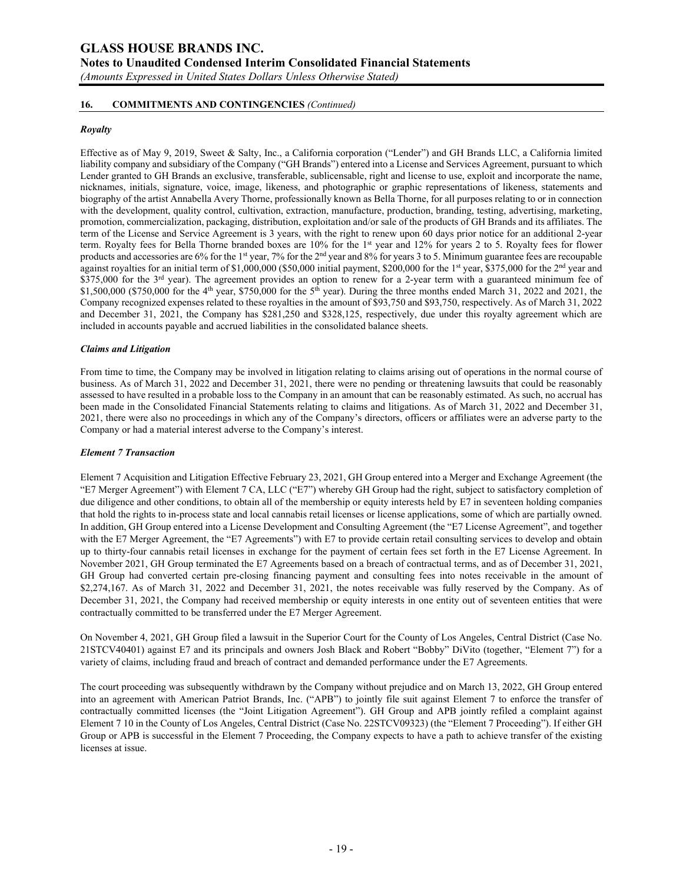**Notes to Unaudited Condensed Interim Consolidated Financial Statements** 

*(Amounts Expressed in United States Dollars Unless Otherwise Stated)*

### **16. COMMITMENTS AND CONTINGENCIES** *(Continued)*

### *Royalty*

Effective as of May 9, 2019, Sweet & Salty, Inc., a California corporation ("Lender") and GH Brands LLC, a California limited liability company and subsidiary of the Company ("GH Brands") entered into a License and Services Agreement, pursuant to which Lender granted to GH Brands an exclusive, transferable, sublicensable, right and license to use, exploit and incorporate the name, nicknames, initials, signature, voice, image, likeness, and photographic or graphic representations of likeness, statements and biography of the artist Annabella Avery Thorne, professionally known as Bella Thorne, for all purposes relating to or in connection with the development, quality control, cultivation, extraction, manufacture, production, branding, testing, advertising, marketing, promotion, commercialization, packaging, distribution, exploitation and/or sale of the products of GH Brands and its affiliates. The term of the License and Service Agreement is 3 years, with the right to renew upon 60 days prior notice for an additional 2-year term. Royalty fees for Bella Thorne branded boxes are 10% for the 1st year and 12% for years 2 to 5. Royalty fees for flower products and accessories are 6% for the 1<sup>st</sup> year, 7% for the 2<sup>nd</sup> year and 8% for years 3 to 5. Minimum guarantee fees are recoupable against royalties for an initial term of \$1,000,000 (\$50,000 initial payment, \$200,000 for the 1<sup>st</sup> year, \$375,000 for the 2<sup>nd</sup> year and  $$375,000$  for the  $3<sup>rd</sup>$  year). The agreement provides an option to renew for a 2-year term with a guaranteed minimum fee of \$1,500,000 (\$750,000 for the 4<sup>th</sup> year, \$750,000 for the 5<sup>th</sup> year). During the three months ended March 31, 2022 and 2021, the Company recognized expenses related to these royalties in the amount of \$93,750 and \$93,750, respectively. As of March 31, 2022 and December 31, 2021, the Company has \$281,250 and \$328,125, respectively, due under this royalty agreement which are included in accounts payable and accrued liabilities in the consolidated balance sheets.

#### *Claims and Litigation*

From time to time, the Company may be involved in litigation relating to claims arising out of operations in the normal course of business. As of March 31, 2022 and December 31, 2021, there were no pending or threatening lawsuits that could be reasonably assessed to have resulted in a probable loss to the Company in an amount that can be reasonably estimated. As such, no accrual has been made in the Consolidated Financial Statements relating to claims and litigations. As of March 31, 2022 and December 31, 2021, there were also no proceedings in which any of the Company's directors, officers or affiliates were an adverse party to the Company or had a material interest adverse to the Company's interest.

#### *Element 7 Transaction*

Element 7 Acquisition and Litigation Effective February 23, 2021, GH Group entered into a Merger and Exchange Agreement (the "E7 Merger Agreement") with Element 7 CA, LLC ("E7") whereby GH Group had the right, subject to satisfactory completion of due diligence and other conditions, to obtain all of the membership or equity interests held by E7 in seventeen holding companies that hold the rights to in-process state and local cannabis retail licenses or license applications, some of which are partially owned. In addition, GH Group entered into a License Development and Consulting Agreement (the "E7 License Agreement", and together with the E7 Merger Agreement, the "E7 Agreements") with E7 to provide certain retail consulting services to develop and obtain up to thirty-four cannabis retail licenses in exchange for the payment of certain fees set forth in the E7 License Agreement. In November 2021, GH Group terminated the E7 Agreements based on a breach of contractual terms, and as of December 31, 2021, GH Group had converted certain pre-closing financing payment and consulting fees into notes receivable in the amount of \$2,274,167. As of March 31, 2022 and December 31, 2021, the notes receivable was fully reserved by the Company. As of December 31, 2021, the Company had received membership or equity interests in one entity out of seventeen entities that were contractually committed to be transferred under the E7 Merger Agreement.

On November 4, 2021, GH Group filed a lawsuit in the Superior Court for the County of Los Angeles, Central District (Case No. 21STCV40401) against E7 and its principals and owners Josh Black and Robert "Bobby" DiVito (together, "Element 7") for a variety of claims, including fraud and breach of contract and demanded performance under the E7 Agreements.

The court proceeding was subsequently withdrawn by the Company without prejudice and on March 13, 2022, GH Group entered into an agreement with American Patriot Brands, Inc. ("APB") to jointly file suit against Element 7 to enforce the transfer of contractually committed licenses (the "Joint Litigation Agreement"). GH Group and APB jointly refiled a complaint against Element 7 10 in the County of Los Angeles, Central District (Case No. 22STCV09323) (the "Element 7 Proceeding"). If either GH Group or APB is successful in the Element 7 Proceeding, the Company expects to have a path to achieve transfer of the existing licenses at issue.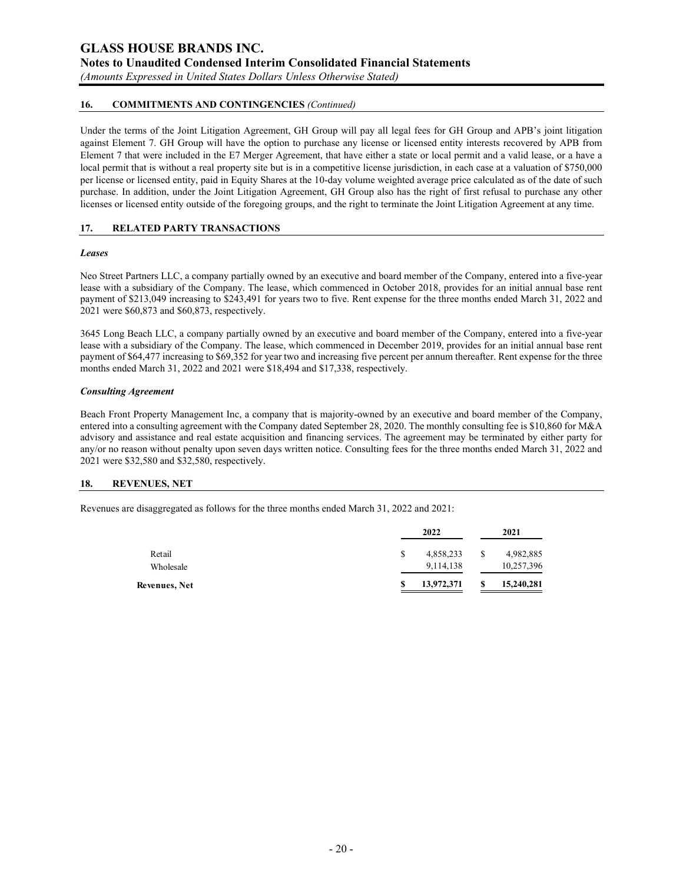### **GLASS HOUSE BRANDS INC. Notes to Unaudited Condensed Interim Consolidated Financial Statements**  *(Amounts Expressed in United States Dollars Unless Otherwise Stated)*

### **16. COMMITMENTS AND CONTINGENCIES** *(Continued)*

Under the terms of the Joint Litigation Agreement, GH Group will pay all legal fees for GH Group and APB's joint litigation against Element 7. GH Group will have the option to purchase any license or licensed entity interests recovered by APB from Element 7 that were included in the E7 Merger Agreement, that have either a state or local permit and a valid lease, or a have a local permit that is without a real property site but is in a competitive license jurisdiction, in each case at a valuation of \$750,000 per license or licensed entity, paid in Equity Shares at the 10-day volume weighted average price calculated as of the date of such purchase. In addition, under the Joint Litigation Agreement, GH Group also has the right of first refusal to purchase any other licenses or licensed entity outside of the foregoing groups, and the right to terminate the Joint Litigation Agreement at any time.

### **17. RELATED PARTY TRANSACTIONS**

#### *Leases*

Neo Street Partners LLC, a company partially owned by an executive and board member of the Company, entered into a five-year lease with a subsidiary of the Company. The lease, which commenced in October 2018, provides for an initial annual base rent payment of \$213,049 increasing to \$243,491 for years two to five. Rent expense for the three months ended March 31, 2022 and 2021 were \$60,873 and \$60,873, respectively.

3645 Long Beach LLC, a company partially owned by an executive and board member of the Company, entered into a five-year lease with a subsidiary of the Company. The lease, which commenced in December 2019, provides for an initial annual base rent payment of \$64,477 increasing to \$69,352 for year two and increasing five percent per annum thereafter. Rent expense for the three months ended March 31, 2022 and 2021 were \$18,494 and \$17,338, respectively.

#### *Consulting Agreement*

Beach Front Property Management Inc, a company that is majority-owned by an executive and board member of the Company, entered into a consulting agreement with the Company dated September 28, 2020. The monthly consulting fee is \$10,860 for M&A advisory and assistance and real estate acquisition and financing services. The agreement may be terminated by either party for any/or no reason without penalty upon seven days written notice. Consulting fees for the three months ended March 31, 2022 and 2021 were \$32,580 and \$32,580, respectively.

#### **18. REVENUES, NET**

Revenues are disaggregated as follows for the three months ended March 31, 2022 and 2021:

|               | 2022             | 2021       |
|---------------|------------------|------------|
| Retail        | \$<br>4,858,233  | 4,982,885  |
| Wholesale     | 9,114,138        | 10,257,396 |
| Revenues, Net | \$<br>13,972,371 | 15,240,281 |
|               |                  |            |